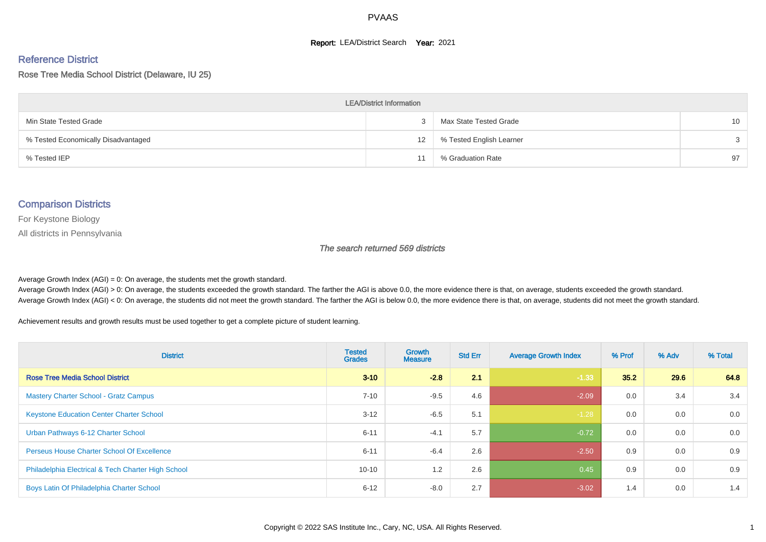#### **Report: LEA/District Search Year: 2021**

#### Reference District

Rose Tree Media School District (Delaware, IU 25)

| <b>LEA/District Information</b>     |    |                          |                 |  |  |  |  |  |  |  |
|-------------------------------------|----|--------------------------|-----------------|--|--|--|--|--|--|--|
| Min State Tested Grade              |    | Max State Tested Grade   | 10 <sup>1</sup> |  |  |  |  |  |  |  |
| % Tested Economically Disadvantaged | 12 | % Tested English Learner | $\mathcal{S}$   |  |  |  |  |  |  |  |
| % Tested IEP                        |    | % Graduation Rate        | 97              |  |  |  |  |  |  |  |

#### Comparison Districts

For Keystone Biology

All districts in Pennsylvania

The search returned 569 districts

Average Growth Index  $(AGI) = 0$ : On average, the students met the growth standard.

Average Growth Index (AGI) > 0: On average, the students exceeded the growth standard. The farther the AGI is above 0.0, the more evidence there is that, on average, students exceeded the growth standard. Average Growth Index (AGI) < 0: On average, the students did not meet the growth standard. The farther the AGI is below 0.0, the more evidence there is that, on average, students did not meet the growth standard.

Achievement results and growth results must be used together to get a complete picture of student learning.

| <b>District</b>                                    | <b>Tested</b><br><b>Grades</b> | <b>Growth</b><br><b>Measure</b> | <b>Std Err</b> | <b>Average Growth Index</b> | % Prof | % Adv | % Total |
|----------------------------------------------------|--------------------------------|---------------------------------|----------------|-----------------------------|--------|-------|---------|
| <b>Rose Tree Media School District</b>             | $3 - 10$                       | $-2.8$                          | 2.1            | $-1.33$                     | 35.2   | 29.6  | 64.8    |
| <b>Mastery Charter School - Gratz Campus</b>       | $7 - 10$                       | $-9.5$                          | 4.6            | $-2.09$                     | 0.0    | 3.4   | 3.4     |
| <b>Keystone Education Center Charter School</b>    | $3 - 12$                       | $-6.5$                          | 5.1            | $-1.28$                     | 0.0    | 0.0   | 0.0     |
| Urban Pathways 6-12 Charter School                 | $6 - 11$                       | $-4.1$                          | 5.7            | $-0.72$                     | 0.0    | 0.0   | 0.0     |
| <b>Perseus House Charter School Of Excellence</b>  | $6 - 11$                       | $-6.4$                          | 2.6            | $-2.50$                     | 0.9    | 0.0   | 0.9     |
| Philadelphia Electrical & Tech Charter High School | $10 - 10$                      | 1.2                             | 2.6            | 0.45                        | 0.9    | 0.0   | 0.9     |
| Boys Latin Of Philadelphia Charter School          | $6 - 12$                       | $-8.0$                          | 2.7            | $-3.02$                     | 1.4    | 0.0   | 1.4     |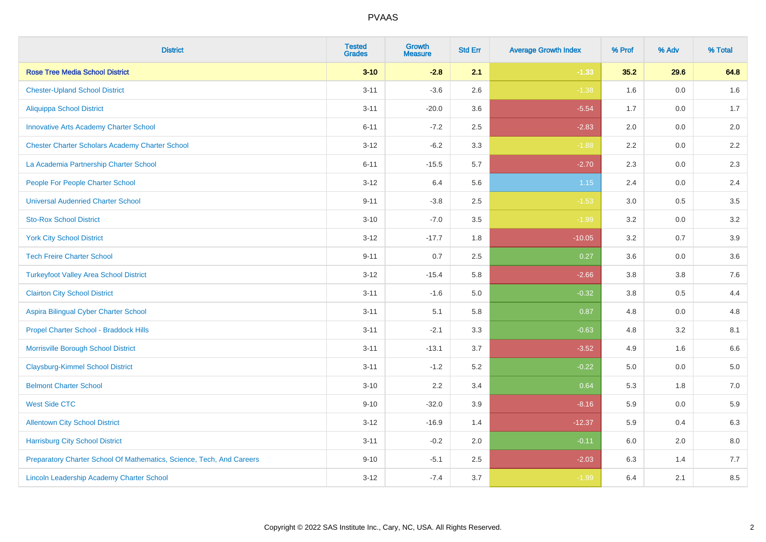| <b>District</b>                                                       | <b>Tested</b><br><b>Grades</b> | <b>Growth</b><br><b>Measure</b> | <b>Std Err</b> | <b>Average Growth Index</b> | % Prof | % Adv   | % Total |
|-----------------------------------------------------------------------|--------------------------------|---------------------------------|----------------|-----------------------------|--------|---------|---------|
| <b>Rose Tree Media School District</b>                                | $3 - 10$                       | $-2.8$                          | 2.1            | $-1.33$                     | 35.2   | 29.6    | 64.8    |
| <b>Chester-Upland School District</b>                                 | $3 - 11$                       | $-3.6$                          | 2.6            | $-1.38$                     | 1.6    | 0.0     | 1.6     |
| <b>Aliquippa School District</b>                                      | $3 - 11$                       | $-20.0$                         | 3.6            | $-5.54$                     | 1.7    | 0.0     | 1.7     |
| <b>Innovative Arts Academy Charter School</b>                         | $6 - 11$                       | $-7.2$                          | 2.5            | $-2.83$                     | 2.0    | $0.0\,$ | $2.0\,$ |
| <b>Chester Charter Scholars Academy Charter School</b>                | $3 - 12$                       | $-6.2$                          | 3.3            | $-1.88$                     | 2.2    | 0.0     | 2.2     |
| La Academia Partnership Charter School                                | $6 - 11$                       | $-15.5$                         | 5.7            | $-2.70$                     | 2.3    | 0.0     | 2.3     |
| People For People Charter School                                      | $3 - 12$                       | 6.4                             | 5.6            | 1.15                        | 2.4    | $0.0\,$ | $2.4\,$ |
| <b>Universal Audenried Charter School</b>                             | $9 - 11$                       | $-3.8$                          | 2.5            | $-1.53$                     | 3.0    | 0.5     | 3.5     |
| <b>Sto-Rox School District</b>                                        | $3 - 10$                       | $-7.0$                          | 3.5            | $-1.99$                     | 3.2    | 0.0     | 3.2     |
| <b>York City School District</b>                                      | $3 - 12$                       | $-17.7$                         | 1.8            | $-10.05$                    | 3.2    | 0.7     | 3.9     |
| <b>Tech Freire Charter School</b>                                     | $9 - 11$                       | 0.7                             | 2.5            | 0.27                        | 3.6    | 0.0     | 3.6     |
| <b>Turkeyfoot Valley Area School District</b>                         | $3 - 12$                       | $-15.4$                         | 5.8            | $-2.66$                     | 3.8    | $3.8\,$ | 7.6     |
| <b>Clairton City School District</b>                                  | $3 - 11$                       | $-1.6$                          | 5.0            | $-0.32$                     | 3.8    | 0.5     | 4.4     |
| Aspira Bilingual Cyber Charter School                                 | $3 - 11$                       | 5.1                             | 5.8            | 0.87                        | 4.8    | 0.0     | 4.8     |
| Propel Charter School - Braddock Hills                                | $3 - 11$                       | $-2.1$                          | 3.3            | $-0.63$                     | 4.8    | 3.2     | 8.1     |
| Morrisville Borough School District                                   | $3 - 11$                       | $-13.1$                         | 3.7            | $-3.52$                     | 4.9    | 1.6     | 6.6     |
| <b>Claysburg-Kimmel School District</b>                               | $3 - 11$                       | $-1.2$                          | 5.2            | $-0.22$                     | 5.0    | 0.0     | 5.0     |
| <b>Belmont Charter School</b>                                         | $3 - 10$                       | 2.2                             | 3.4            | 0.64                        | 5.3    | 1.8     | 7.0     |
| <b>West Side CTC</b>                                                  | $9 - 10$                       | $-32.0$                         | 3.9            | $-8.16$                     | 5.9    | 0.0     | 5.9     |
| <b>Allentown City School District</b>                                 | $3 - 12$                       | $-16.9$                         | 1.4            | $-12.37$                    | 5.9    | 0.4     | 6.3     |
| <b>Harrisburg City School District</b>                                | $3 - 11$                       | $-0.2$                          | 2.0            | $-0.11$                     | 6.0    | 2.0     | 8.0     |
| Preparatory Charter School Of Mathematics, Science, Tech, And Careers | $9 - 10$                       | $-5.1$                          | 2.5            | $-2.03$                     | 6.3    | 1.4     | 7.7     |
| Lincoln Leadership Academy Charter School                             | $3 - 12$                       | $-7.4$                          | 3.7            | $-1.99$                     | 6.4    | 2.1     | 8.5     |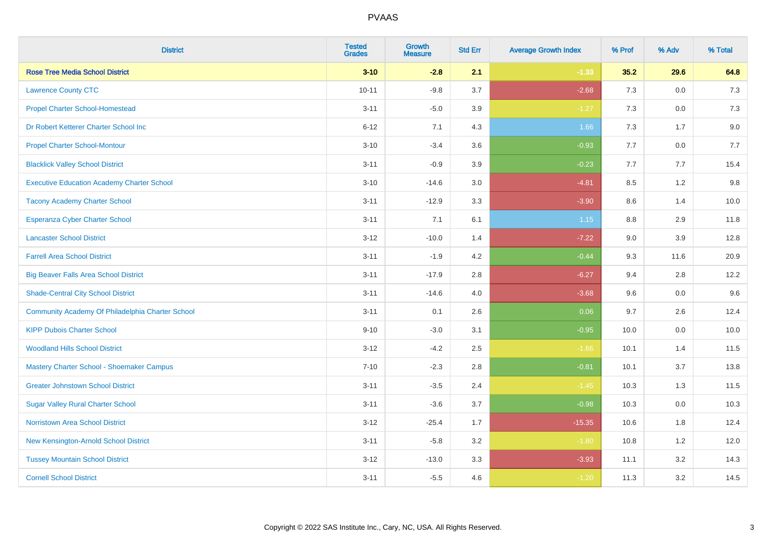| <b>District</b>                                   | <b>Tested</b><br><b>Grades</b> | Growth<br><b>Measure</b> | <b>Std Err</b> | <b>Average Growth Index</b> | % Prof | % Adv   | % Total |
|---------------------------------------------------|--------------------------------|--------------------------|----------------|-----------------------------|--------|---------|---------|
| <b>Rose Tree Media School District</b>            | $3 - 10$                       | $-2.8$                   | 2.1            | $-1.33$                     | 35.2   | 29.6    | 64.8    |
| <b>Lawrence County CTC</b>                        | $10 - 11$                      | $-9.8$                   | 3.7            | $-2.68$                     | 7.3    | 0.0     | 7.3     |
| <b>Propel Charter School-Homestead</b>            | $3 - 11$                       | $-5.0$                   | 3.9            | $-1.27$                     | 7.3    | 0.0     | 7.3     |
| Dr Robert Ketterer Charter School Inc             | $6 - 12$                       | 7.1                      | 4.3            | 1.66                        | $7.3$  | 1.7     | 9.0     |
| <b>Propel Charter School-Montour</b>              | $3 - 10$                       | $-3.4$                   | 3.6            | $-0.93$                     | 7.7    | 0.0     | 7.7     |
| <b>Blacklick Valley School District</b>           | $3 - 11$                       | $-0.9$                   | 3.9            | $-0.23$                     | 7.7    | 7.7     | 15.4    |
| <b>Executive Education Academy Charter School</b> | $3 - 10$                       | $-14.6$                  | 3.0            | $-4.81$                     | 8.5    | 1.2     | 9.8     |
| <b>Tacony Academy Charter School</b>              | $3 - 11$                       | $-12.9$                  | 3.3            | $-3.90$                     | 8.6    | 1.4     | 10.0    |
| <b>Esperanza Cyber Charter School</b>             | $3 - 11$                       | 7.1                      | 6.1            | 1.15                        | 8.8    | 2.9     | 11.8    |
| <b>Lancaster School District</b>                  | $3 - 12$                       | $-10.0$                  | 1.4            | $-7.22$                     | 9.0    | 3.9     | 12.8    |
| <b>Farrell Area School District</b>               | $3 - 11$                       | $-1.9$                   | 4.2            | $-0.44$                     | 9.3    | 11.6    | 20.9    |
| <b>Big Beaver Falls Area School District</b>      | $3 - 11$                       | $-17.9$                  | 2.8            | $-6.27$                     | 9.4    | 2.8     | 12.2    |
| <b>Shade-Central City School District</b>         | $3 - 11$                       | $-14.6$                  | 4.0            | $-3.68$                     | 9.6    | 0.0     | 9.6     |
| Community Academy Of Philadelphia Charter School  | $3 - 11$                       | 0.1                      | 2.6            | 0.06                        | 9.7    | 2.6     | 12.4    |
| <b>KIPP Dubois Charter School</b>                 | $9 - 10$                       | $-3.0$                   | 3.1            | $-0.95$                     | 10.0   | 0.0     | 10.0    |
| <b>Woodland Hills School District</b>             | $3 - 12$                       | $-4.2$                   | 2.5            | $-1.66$                     | 10.1   | 1.4     | 11.5    |
| Mastery Charter School - Shoemaker Campus         | $7 - 10$                       | $-2.3$                   | 2.8            | $-0.81$                     | 10.1   | 3.7     | 13.8    |
| <b>Greater Johnstown School District</b>          | $3 - 11$                       | $-3.5$                   | 2.4            | $-1.45$                     | 10.3   | 1.3     | 11.5    |
| <b>Sugar Valley Rural Charter School</b>          | $3 - 11$                       | $-3.6$                   | 3.7            | $-0.98$                     | 10.3   | $0.0\,$ | 10.3    |
| Norristown Area School District                   | $3 - 12$                       | $-25.4$                  | 1.7            | $-15.35$                    | 10.6   | 1.8     | 12.4    |
| New Kensington-Arnold School District             | $3 - 11$                       | $-5.8$                   | 3.2            | $-1.80$                     | 10.8   | 1.2     | 12.0    |
| <b>Tussey Mountain School District</b>            | $3 - 12$                       | $-13.0$                  | 3.3            | $-3.93$                     | 11.1   | 3.2     | 14.3    |
| <b>Cornell School District</b>                    | $3 - 11$                       | $-5.5$                   | 4.6            | $-1.20$                     | 11.3   | 3.2     | 14.5    |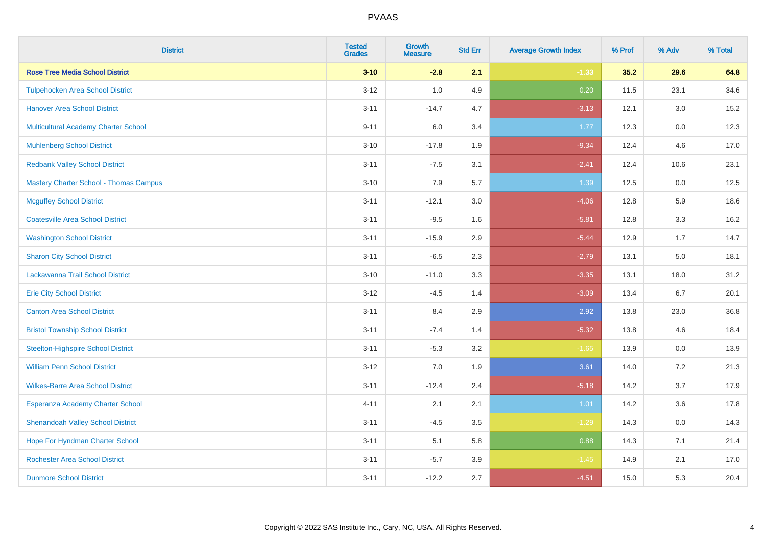| <b>District</b>                               | <b>Tested</b><br><b>Grades</b> | <b>Growth</b><br><b>Measure</b> | <b>Std Err</b> | <b>Average Growth Index</b> | % Prof | % Adv   | % Total |
|-----------------------------------------------|--------------------------------|---------------------------------|----------------|-----------------------------|--------|---------|---------|
| <b>Rose Tree Media School District</b>        | $3 - 10$                       | $-2.8$                          | 2.1            | $-1.33$                     | 35.2   | 29.6    | 64.8    |
| <b>Tulpehocken Area School District</b>       | $3 - 12$                       | 1.0                             | 4.9            | 0.20                        | 11.5   | 23.1    | 34.6    |
| <b>Hanover Area School District</b>           | $3 - 11$                       | $-14.7$                         | 4.7            | $-3.13$                     | 12.1   | 3.0     | 15.2    |
| <b>Multicultural Academy Charter School</b>   | $9 - 11$                       | 6.0                             | 3.4            | 1.77                        | 12.3   | 0.0     | 12.3    |
| <b>Muhlenberg School District</b>             | $3 - 10$                       | $-17.8$                         | 1.9            | $-9.34$                     | 12.4   | 4.6     | 17.0    |
| <b>Redbank Valley School District</b>         | $3 - 11$                       | $-7.5$                          | 3.1            | $-2.41$                     | 12.4   | 10.6    | 23.1    |
| <b>Mastery Charter School - Thomas Campus</b> | $3 - 10$                       | 7.9                             | 5.7            | 1.39                        | 12.5   | 0.0     | 12.5    |
| <b>Mcguffey School District</b>               | $3 - 11$                       | $-12.1$                         | 3.0            | $-4.06$                     | 12.8   | 5.9     | 18.6    |
| <b>Coatesville Area School District</b>       | $3 - 11$                       | $-9.5$                          | 1.6            | $-5.81$                     | 12.8   | 3.3     | 16.2    |
| <b>Washington School District</b>             | $3 - 11$                       | $-15.9$                         | 2.9            | $-5.44$                     | 12.9   | 1.7     | 14.7    |
| <b>Sharon City School District</b>            | $3 - 11$                       | $-6.5$                          | 2.3            | $-2.79$                     | 13.1   | 5.0     | 18.1    |
| Lackawanna Trail School District              | $3 - 10$                       | $-11.0$                         | 3.3            | $-3.35$                     | 13.1   | 18.0    | 31.2    |
| <b>Erie City School District</b>              | $3 - 12$                       | $-4.5$                          | 1.4            | $-3.09$                     | 13.4   | 6.7     | 20.1    |
| <b>Canton Area School District</b>            | $3 - 11$                       | 8.4                             | 2.9            | 2.92                        | 13.8   | 23.0    | 36.8    |
| <b>Bristol Township School District</b>       | $3 - 11$                       | $-7.4$                          | 1.4            | $-5.32$                     | 13.8   | 4.6     | 18.4    |
| <b>Steelton-Highspire School District</b>     | $3 - 11$                       | $-5.3$                          | 3.2            | $-1.65$                     | 13.9   | $0.0\,$ | 13.9    |
| <b>William Penn School District</b>           | $3 - 12$                       | 7.0                             | 1.9            | 3.61                        | 14.0   | 7.2     | 21.3    |
| <b>Wilkes-Barre Area School District</b>      | $3 - 11$                       | $-12.4$                         | 2.4            | $-5.18$                     | 14.2   | 3.7     | 17.9    |
| Esperanza Academy Charter School              | $4 - 11$                       | 2.1                             | 2.1            | 1.01                        | 14.2   | 3.6     | 17.8    |
| <b>Shenandoah Valley School District</b>      | $3 - 11$                       | $-4.5$                          | 3.5            | $-1.29$                     | 14.3   | 0.0     | 14.3    |
| Hope For Hyndman Charter School               | $3 - 11$                       | 5.1                             | 5.8            | 0.88                        | 14.3   | 7.1     | 21.4    |
| <b>Rochester Area School District</b>         | $3 - 11$                       | $-5.7$                          | 3.9            | $-1.45$                     | 14.9   | 2.1     | 17.0    |
| <b>Dunmore School District</b>                | $3 - 11$                       | $-12.2$                         | 2.7            | $-4.51$                     | 15.0   | 5.3     | 20.4    |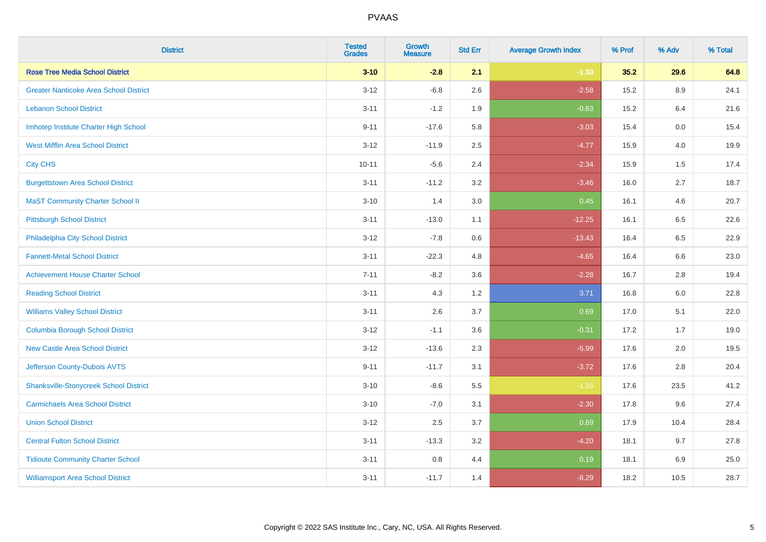| <b>District</b>                               | <b>Tested</b><br><b>Grades</b> | Growth<br><b>Measure</b> | <b>Std Err</b> | <b>Average Growth Index</b> | % Prof | % Adv | % Total |
|-----------------------------------------------|--------------------------------|--------------------------|----------------|-----------------------------|--------|-------|---------|
| <b>Rose Tree Media School District</b>        | $3 - 10$                       | $-2.8$                   | 2.1            | $-1.33$                     | 35.2   | 29.6  | 64.8    |
| <b>Greater Nanticoke Area School District</b> | $3 - 12$                       | $-6.8$                   | 2.6            | $-2.58$                     | 15.2   | 8.9   | 24.1    |
| <b>Lebanon School District</b>                | $3 - 11$                       | $-1.2$                   | 1.9            | $-0.63$                     | 15.2   | 6.4   | 21.6    |
| Imhotep Institute Charter High School         | $9 - 11$                       | $-17.6$                  | 5.8            | $-3.03$                     | 15.4   | 0.0   | 15.4    |
| <b>West Mifflin Area School District</b>      | $3 - 12$                       | $-11.9$                  | 2.5            | $-4.77$                     | 15.9   | 4.0   | 19.9    |
| <b>City CHS</b>                               | $10 - 11$                      | $-5.6$                   | 2.4            | $-2.34$                     | 15.9   | 1.5   | 17.4    |
| <b>Burgettstown Area School District</b>      | $3 - 11$                       | $-11.2$                  | 3.2            | $-3.46$                     | 16.0   | 2.7   | 18.7    |
| <b>MaST Community Charter School II</b>       | $3 - 10$                       | 1.4                      | 3.0            | 0.45                        | 16.1   | 4.6   | 20.7    |
| <b>Pittsburgh School District</b>             | $3 - 11$                       | $-13.0$                  | 1.1            | $-12.25$                    | 16.1   | 6.5   | 22.6    |
| Philadelphia City School District             | $3 - 12$                       | $-7.8$                   | 0.6            | $-13.43$                    | 16.4   | 6.5   | 22.9    |
| <b>Fannett-Metal School District</b>          | $3 - 11$                       | $-22.3$                  | 4.8            | $-4.65$                     | 16.4   | 6.6   | 23.0    |
| <b>Achievement House Charter School</b>       | $7 - 11$                       | $-8.2$                   | 3.6            | $-2.28$                     | 16.7   | 2.8   | 19.4    |
| <b>Reading School District</b>                | $3 - 11$                       | 4.3                      | 1.2            | 3.71                        | 16.8   | 6.0   | 22.8    |
| <b>Williams Valley School District</b>        | $3 - 11$                       | 2.6                      | 3.7            | 0.69                        | 17.0   | 5.1   | 22.0    |
| <b>Columbia Borough School District</b>       | $3 - 12$                       | $-1.1$                   | 3.6            | $-0.31$                     | 17.2   | 1.7   | 19.0    |
| <b>New Castle Area School District</b>        | $3 - 12$                       | $-13.6$                  | 2.3            | $-5.99$                     | 17.6   | 2.0   | 19.5    |
| Jefferson County-Dubois AVTS                  | $9 - 11$                       | $-11.7$                  | 3.1            | $-3.72$                     | 17.6   | 2.8   | 20.4    |
| <b>Shanksville-Stonycreek School District</b> | $3 - 10$                       | $-8.6$                   | 5.5            | $-1.55$                     | 17.6   | 23.5  | 41.2    |
| <b>Carmichaels Area School District</b>       | $3 - 10$                       | $-7.0$                   | 3.1            | $-2.30$                     | 17.8   | 9.6   | 27.4    |
| <b>Union School District</b>                  | $3 - 12$                       | 2.5                      | 3.7            | 0.69                        | 17.9   | 10.4  | 28.4    |
| <b>Central Fulton School District</b>         | $3 - 11$                       | $-13.3$                  | 3.2            | $-4.20$                     | 18.1   | 9.7   | 27.8    |
| <b>Tidioute Community Charter School</b>      | $3 - 11$                       | 0.8                      | 4.4            | 0.19                        | 18.1   | 6.9   | 25.0    |
| <b>Williamsport Area School District</b>      | $3 - 11$                       | $-11.7$                  | 1.4            | $-8.29$                     | 18.2   | 10.5  | 28.7    |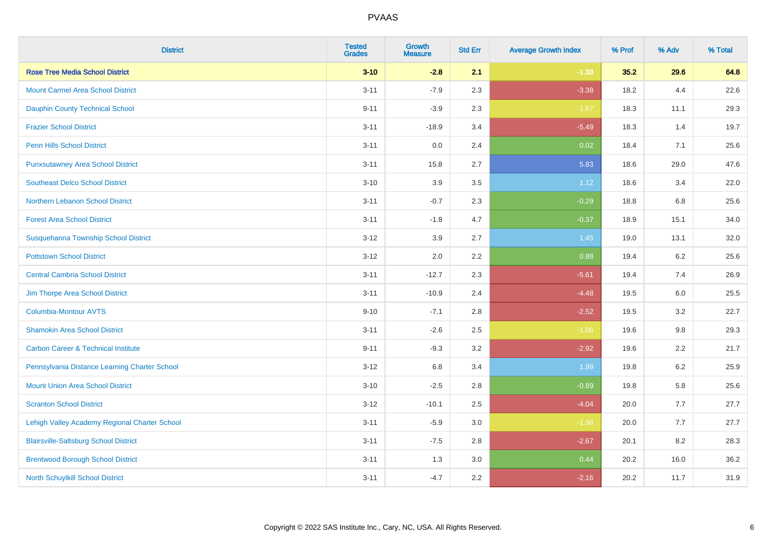| <b>District</b>                                | <b>Tested</b><br><b>Grades</b> | <b>Growth</b><br><b>Measure</b> | <b>Std Err</b> | <b>Average Growth Index</b> | % Prof | % Adv | % Total |
|------------------------------------------------|--------------------------------|---------------------------------|----------------|-----------------------------|--------|-------|---------|
| <b>Rose Tree Media School District</b>         | $3 - 10$                       | $-2.8$                          | 2.1            | $-1.33$                     | 35.2   | 29.6  | 64.8    |
| <b>Mount Carmel Area School District</b>       | $3 - 11$                       | $-7.9$                          | 2.3            | $-3.38$                     | 18.2   | 4.4   | 22.6    |
| <b>Dauphin County Technical School</b>         | $9 - 11$                       | $-3.9$                          | 2.3            | $-1.67$                     | 18.3   | 11.1  | 29.3    |
| <b>Frazier School District</b>                 | $3 - 11$                       | $-18.9$                         | 3.4            | $-5.49$                     | 18.3   | 1.4   | 19.7    |
| <b>Penn Hills School District</b>              | $3 - 11$                       | 0.0                             | 2.4            | 0.02                        | 18.4   | 7.1   | 25.6    |
| <b>Punxsutawney Area School District</b>       | $3 - 11$                       | 15.8                            | 2.7            | 5.83                        | 18.6   | 29.0  | 47.6    |
| <b>Southeast Delco School District</b>         | $3 - 10$                       | 3.9                             | 3.5            | 1.12                        | 18.6   | 3.4   | 22.0    |
| Northern Lebanon School District               | $3 - 11$                       | $-0.7$                          | 2.3            | $-0.29$                     | 18.8   | 6.8   | 25.6    |
| <b>Forest Area School District</b>             | $3 - 11$                       | $-1.8$                          | 4.7            | $-0.37$                     | 18.9   | 15.1  | 34.0    |
| Susquehanna Township School District           | $3 - 12$                       | 3.9                             | 2.7            | 1.45                        | 19.0   | 13.1  | 32.0    |
| <b>Pottstown School District</b>               | $3 - 12$                       | 2.0                             | 2.2            | 0.88                        | 19.4   | 6.2   | 25.6    |
| <b>Central Cambria School District</b>         | $3 - 11$                       | $-12.7$                         | 2.3            | $-5.61$                     | 19.4   | 7.4   | 26.9    |
| Jim Thorpe Area School District                | $3 - 11$                       | $-10.9$                         | 2.4            | $-4.48$                     | 19.5   | 6.0   | 25.5    |
| <b>Columbia-Montour AVTS</b>                   | $9 - 10$                       | $-7.1$                          | 2.8            | $-2.52$                     | 19.5   | 3.2   | 22.7    |
| <b>Shamokin Area School District</b>           | $3 - 11$                       | $-2.6$                          | 2.5            | $-1.06$                     | 19.6   | 9.8   | 29.3    |
| <b>Carbon Career &amp; Technical Institute</b> | $9 - 11$                       | $-9.3$                          | 3.2            | $-2.92$                     | 19.6   | 2.2   | 21.7    |
| Pennsylvania Distance Learning Charter School  | $3 - 12$                       | 6.8                             | 3.4            | 1.99                        | 19.8   | 6.2   | 25.9    |
| <b>Mount Union Area School District</b>        | $3 - 10$                       | $-2.5$                          | 2.8            | $-0.89$                     | 19.8   | 5.8   | 25.6    |
| <b>Scranton School District</b>                | $3 - 12$                       | $-10.1$                         | 2.5            | $-4.04$                     | 20.0   | 7.7   | 27.7    |
| Lehigh Valley Academy Regional Charter School  | $3 - 11$                       | $-5.9$                          | 3.0            | $-1.98$                     | 20.0   | 7.7   | 27.7    |
| <b>Blairsville-Saltsburg School District</b>   | $3 - 11$                       | $-7.5$                          | 2.8            | $-2.67$                     | 20.1   | 8.2   | 28.3    |
| <b>Brentwood Borough School District</b>       | $3 - 11$                       | 1.3                             | 3.0            | 0.44                        | 20.2   | 16.0  | 36.2    |
| North Schuylkill School District               | $3 - 11$                       | $-4.7$                          | 2.2            | $-2.16$                     | 20.2   | 11.7  | 31.9    |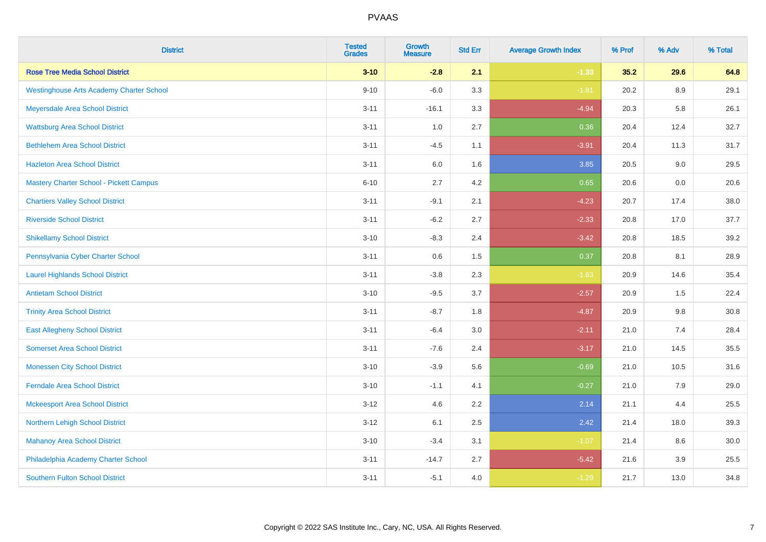| <b>District</b>                                 | <b>Tested</b><br><b>Grades</b> | <b>Growth</b><br><b>Measure</b> | <b>Std Err</b> | <b>Average Growth Index</b> | % Prof | % Adv   | % Total |
|-------------------------------------------------|--------------------------------|---------------------------------|----------------|-----------------------------|--------|---------|---------|
| <b>Rose Tree Media School District</b>          | $3 - 10$                       | $-2.8$                          | 2.1            | $-1.33$                     | 35.2   | 29.6    | 64.8    |
| <b>Westinghouse Arts Academy Charter School</b> | $9 - 10$                       | $-6.0$                          | 3.3            | $-1.81$                     | 20.2   | 8.9     | 29.1    |
| Meyersdale Area School District                 | $3 - 11$                       | $-16.1$                         | 3.3            | $-4.94$                     | 20.3   | 5.8     | 26.1    |
| <b>Wattsburg Area School District</b>           | $3 - 11$                       | 1.0                             | 2.7            | 0.36                        | 20.4   | 12.4    | 32.7    |
| <b>Bethlehem Area School District</b>           | $3 - 11$                       | $-4.5$                          | 1.1            | $-3.91$                     | 20.4   | 11.3    | 31.7    |
| <b>Hazleton Area School District</b>            | $3 - 11$                       | 6.0                             | 1.6            | 3.85                        | 20.5   | 9.0     | 29.5    |
| <b>Mastery Charter School - Pickett Campus</b>  | $6 - 10$                       | 2.7                             | 4.2            | 0.65                        | 20.6   | 0.0     | 20.6    |
| <b>Chartiers Valley School District</b>         | $3 - 11$                       | $-9.1$                          | 2.1            | $-4.23$                     | 20.7   | 17.4    | 38.0    |
| <b>Riverside School District</b>                | $3 - 11$                       | $-6.2$                          | 2.7            | $-2.33$                     | 20.8   | 17.0    | 37.7    |
| <b>Shikellamy School District</b>               | $3 - 10$                       | $-8.3$                          | 2.4            | $-3.42$                     | 20.8   | 18.5    | 39.2    |
| Pennsylvania Cyber Charter School               | $3 - 11$                       | 0.6                             | 1.5            | 0.37                        | 20.8   | 8.1     | 28.9    |
| <b>Laurel Highlands School District</b>         | $3 - 11$                       | $-3.8$                          | 2.3            | $-1.63$                     | 20.9   | 14.6    | 35.4    |
| <b>Antietam School District</b>                 | $3 - 10$                       | $-9.5$                          | 3.7            | $-2.57$                     | 20.9   | $1.5\,$ | 22.4    |
| <b>Trinity Area School District</b>             | $3 - 11$                       | $-8.7$                          | 1.8            | $-4.87$                     | 20.9   | 9.8     | 30.8    |
| <b>East Allegheny School District</b>           | $3 - 11$                       | $-6.4$                          | 3.0            | $-2.11$                     | 21.0   | 7.4     | 28.4    |
| <b>Somerset Area School District</b>            | $3 - 11$                       | $-7.6$                          | 2.4            | $-3.17$                     | 21.0   | 14.5    | 35.5    |
| <b>Monessen City School District</b>            | $3 - 10$                       | $-3.9$                          | 5.6            | $-0.69$                     | 21.0   | 10.5    | 31.6    |
| <b>Ferndale Area School District</b>            | $3 - 10$                       | $-1.1$                          | 4.1            | $-0.27$                     | 21.0   | 7.9     | 29.0    |
| <b>Mckeesport Area School District</b>          | $3 - 12$                       | 4.6                             | 2.2            | 2.14                        | 21.1   | 4.4     | 25.5    |
| Northern Lehigh School District                 | $3 - 12$                       | 6.1                             | 2.5            | 2.42                        | 21.4   | 18.0    | 39.3    |
| <b>Mahanoy Area School District</b>             | $3 - 10$                       | $-3.4$                          | 3.1            | $-1.07$                     | 21.4   | 8.6     | 30.0    |
| Philadelphia Academy Charter School             | $3 - 11$                       | $-14.7$                         | 2.7            | $-5.42$                     | 21.6   | 3.9     | 25.5    |
| <b>Southern Fulton School District</b>          | $3 - 11$                       | $-5.1$                          | 4.0            | $-1.29$                     | 21.7   | 13.0    | 34.8    |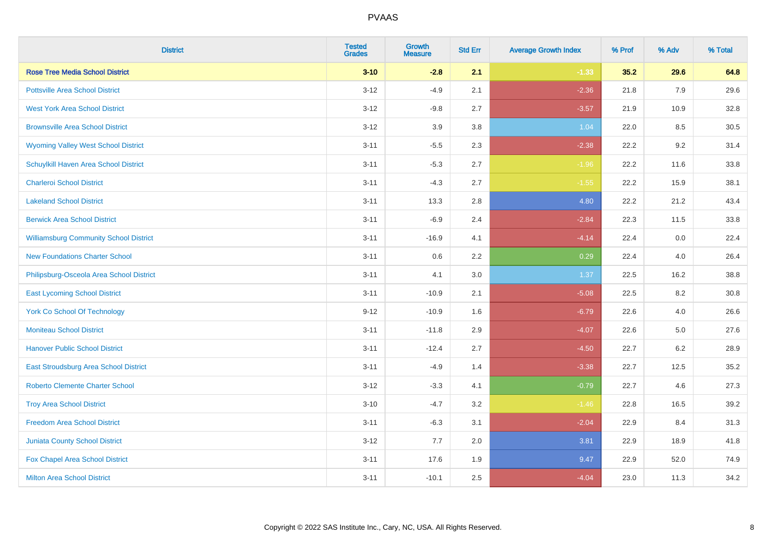| <b>District</b>                               | <b>Tested</b><br><b>Grades</b> | <b>Growth</b><br><b>Measure</b> | <b>Std Err</b> | <b>Average Growth Index</b> | % Prof | % Adv   | % Total |
|-----------------------------------------------|--------------------------------|---------------------------------|----------------|-----------------------------|--------|---------|---------|
| <b>Rose Tree Media School District</b>        | $3 - 10$                       | $-2.8$                          | 2.1            | $-1.33$                     | 35.2   | 29.6    | 64.8    |
| <b>Pottsville Area School District</b>        | $3 - 12$                       | $-4.9$                          | 2.1            | $-2.36$                     | 21.8   | 7.9     | 29.6    |
| <b>West York Area School District</b>         | $3 - 12$                       | $-9.8$                          | 2.7            | $-3.57$                     | 21.9   | 10.9    | 32.8    |
| <b>Brownsville Area School District</b>       | $3 - 12$                       | 3.9                             | 3.8            | 1.04                        | 22.0   | 8.5     | 30.5    |
| <b>Wyoming Valley West School District</b>    | $3 - 11$                       | $-5.5$                          | 2.3            | $-2.38$                     | 22.2   | 9.2     | 31.4    |
| Schuylkill Haven Area School District         | $3 - 11$                       | $-5.3$                          | 2.7            | $-1.96$                     | 22.2   | 11.6    | 33.8    |
| <b>Charleroi School District</b>              | $3 - 11$                       | $-4.3$                          | 2.7            | $-1.55$                     | 22.2   | 15.9    | 38.1    |
| <b>Lakeland School District</b>               | $3 - 11$                       | 13.3                            | 2.8            | 4.80                        | 22.2   | 21.2    | 43.4    |
| <b>Berwick Area School District</b>           | $3 - 11$                       | $-6.9$                          | 2.4            | $-2.84$                     | 22.3   | 11.5    | 33.8    |
| <b>Williamsburg Community School District</b> | $3 - 11$                       | $-16.9$                         | 4.1            | $-4.14$                     | 22.4   | 0.0     | 22.4    |
| <b>New Foundations Charter School</b>         | $3 - 11$                       | $0.6\,$                         | 2.2            | 0.29                        | 22.4   | 4.0     | 26.4    |
| Philipsburg-Osceola Area School District      | $3 - 11$                       | 4.1                             | 3.0            | 1.37                        | 22.5   | 16.2    | 38.8    |
| <b>East Lycoming School District</b>          | $3 - 11$                       | $-10.9$                         | 2.1            | $-5.08$                     | 22.5   | $8.2\,$ | 30.8    |
| <b>York Co School Of Technology</b>           | $9 - 12$                       | $-10.9$                         | 1.6            | $-6.79$                     | 22.6   | 4.0     | 26.6    |
| <b>Moniteau School District</b>               | $3 - 11$                       | $-11.8$                         | 2.9            | $-4.07$                     | 22.6   | 5.0     | 27.6    |
| <b>Hanover Public School District</b>         | $3 - 11$                       | $-12.4$                         | 2.7            | $-4.50$                     | 22.7   | $6.2\,$ | 28.9    |
| East Stroudsburg Area School District         | $3 - 11$                       | $-4.9$                          | 1.4            | $-3.38$                     | 22.7   | 12.5    | 35.2    |
| <b>Roberto Clemente Charter School</b>        | $3 - 12$                       | $-3.3$                          | 4.1            | $-0.79$                     | 22.7   | 4.6     | 27.3    |
| <b>Troy Area School District</b>              | $3 - 10$                       | $-4.7$                          | 3.2            | $-1.46$                     | 22.8   | 16.5    | 39.2    |
| <b>Freedom Area School District</b>           | $3 - 11$                       | $-6.3$                          | 3.1            | $-2.04$                     | 22.9   | 8.4     | 31.3    |
| <b>Juniata County School District</b>         | $3 - 12$                       | 7.7                             | 2.0            | 3.81                        | 22.9   | 18.9    | 41.8    |
| Fox Chapel Area School District               | $3 - 11$                       | 17.6                            | 1.9            | 9.47                        | 22.9   | 52.0    | 74.9    |
| <b>Milton Area School District</b>            | $3 - 11$                       | $-10.1$                         | 2.5            | $-4.04$                     | 23.0   | 11.3    | 34.2    |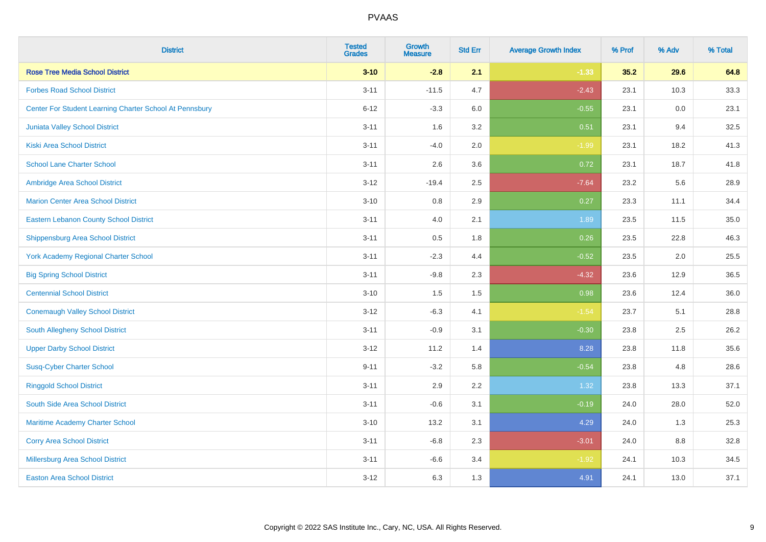| <b>District</b>                                         | <b>Tested</b><br><b>Grades</b> | <b>Growth</b><br><b>Measure</b> | <b>Std Err</b> | <b>Average Growth Index</b> | % Prof | % Adv | % Total |
|---------------------------------------------------------|--------------------------------|---------------------------------|----------------|-----------------------------|--------|-------|---------|
| <b>Rose Tree Media School District</b>                  | $3 - 10$                       | $-2.8$                          | 2.1            | $-1.33$                     | 35.2   | 29.6  | 64.8    |
| <b>Forbes Road School District</b>                      | $3 - 11$                       | $-11.5$                         | 4.7            | $-2.43$                     | 23.1   | 10.3  | 33.3    |
| Center For Student Learning Charter School At Pennsbury | $6 - 12$                       | $-3.3$                          | 6.0            | $-0.55$                     | 23.1   | 0.0   | 23.1    |
| Juniata Valley School District                          | $3 - 11$                       | 1.6                             | 3.2            | 0.51                        | 23.1   | 9.4   | 32.5    |
| <b>Kiski Area School District</b>                       | $3 - 11$                       | $-4.0$                          | 2.0            | $-1.99$                     | 23.1   | 18.2  | 41.3    |
| <b>School Lane Charter School</b>                       | $3 - 11$                       | 2.6                             | 3.6            | 0.72                        | 23.1   | 18.7  | 41.8    |
| Ambridge Area School District                           | $3 - 12$                       | $-19.4$                         | 2.5            | $-7.64$                     | 23.2   | 5.6   | 28.9    |
| <b>Marion Center Area School District</b>               | $3 - 10$                       | 0.8                             | 2.9            | 0.27                        | 23.3   | 11.1  | 34.4    |
| <b>Eastern Lebanon County School District</b>           | $3 - 11$                       | 4.0                             | 2.1            | 1.89                        | 23.5   | 11.5  | 35.0    |
| <b>Shippensburg Area School District</b>                | $3 - 11$                       | 0.5                             | 1.8            | 0.26                        | 23.5   | 22.8  | 46.3    |
| <b>York Academy Regional Charter School</b>             | $3 - 11$                       | $-2.3$                          | 4.4            | $-0.52$                     | 23.5   | 2.0   | 25.5    |
| <b>Big Spring School District</b>                       | $3 - 11$                       | $-9.8$                          | 2.3            | $-4.32$                     | 23.6   | 12.9  | 36.5    |
| <b>Centennial School District</b>                       | $3 - 10$                       | 1.5                             | 1.5            | 0.98                        | 23.6   | 12.4  | 36.0    |
| <b>Conemaugh Valley School District</b>                 | $3 - 12$                       | $-6.3$                          | 4.1            | $-1.54$                     | 23.7   | 5.1   | 28.8    |
| South Allegheny School District                         | $3 - 11$                       | $-0.9$                          | 3.1            | $-0.30$                     | 23.8   | 2.5   | 26.2    |
| <b>Upper Darby School District</b>                      | $3 - 12$                       | 11.2                            | 1.4            | 8.28                        | 23.8   | 11.8  | 35.6    |
| <b>Susq-Cyber Charter School</b>                        | $9 - 11$                       | $-3.2$                          | 5.8            | $-0.54$                     | 23.8   | 4.8   | 28.6    |
| <b>Ringgold School District</b>                         | $3 - 11$                       | 2.9                             | 2.2            | 1.32                        | 23.8   | 13.3  | 37.1    |
| South Side Area School District                         | $3 - 11$                       | $-0.6$                          | 3.1            | $-0.19$                     | 24.0   | 28.0  | 52.0    |
| Maritime Academy Charter School                         | $3 - 10$                       | 13.2                            | 3.1            | 4.29                        | 24.0   | 1.3   | 25.3    |
| <b>Corry Area School District</b>                       | $3 - 11$                       | $-6.8$                          | 2.3            | $-3.01$                     | 24.0   | 8.8   | 32.8    |
| Millersburg Area School District                        | $3 - 11$                       | $-6.6$                          | 3.4            | $-1.92$                     | 24.1   | 10.3  | 34.5    |
| <b>Easton Area School District</b>                      | $3 - 12$                       | 6.3                             | 1.3            | 4.91                        | 24.1   | 13.0  | 37.1    |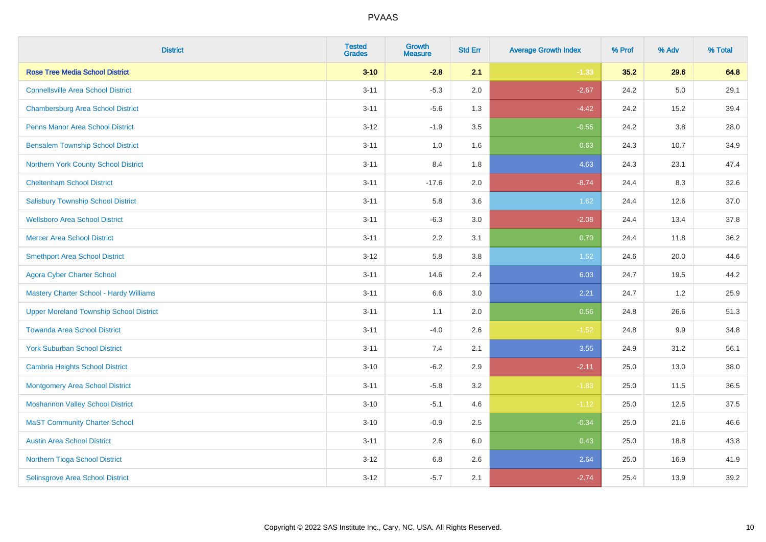| <b>District</b>                                | <b>Tested</b><br><b>Grades</b> | <b>Growth</b><br><b>Measure</b> | <b>Std Err</b> | <b>Average Growth Index</b> | % Prof | % Adv | % Total |
|------------------------------------------------|--------------------------------|---------------------------------|----------------|-----------------------------|--------|-------|---------|
| <b>Rose Tree Media School District</b>         | $3 - 10$                       | $-2.8$                          | 2.1            | $-1.33$                     | 35.2   | 29.6  | 64.8    |
| <b>Connellsville Area School District</b>      | $3 - 11$                       | $-5.3$                          | 2.0            | $-2.67$                     | 24.2   | 5.0   | 29.1    |
| <b>Chambersburg Area School District</b>       | $3 - 11$                       | $-5.6$                          | 1.3            | $-4.42$                     | 24.2   | 15.2  | 39.4    |
| <b>Penns Manor Area School District</b>        | $3 - 12$                       | $-1.9$                          | 3.5            | $-0.55$                     | 24.2   | 3.8   | 28.0    |
| <b>Bensalem Township School District</b>       | $3 - 11$                       | 1.0                             | 1.6            | 0.63                        | 24.3   | 10.7  | 34.9    |
| Northern York County School District           | $3 - 11$                       | 8.4                             | 1.8            | 4.63                        | 24.3   | 23.1  | 47.4    |
| <b>Cheltenham School District</b>              | $3 - 11$                       | $-17.6$                         | 2.0            | $-8.74$                     | 24.4   | 8.3   | 32.6    |
| <b>Salisbury Township School District</b>      | $3 - 11$                       | 5.8                             | 3.6            | 1.62                        | 24.4   | 12.6  | 37.0    |
| <b>Wellsboro Area School District</b>          | $3 - 11$                       | $-6.3$                          | 3.0            | $-2.08$                     | 24.4   | 13.4  | 37.8    |
| <b>Mercer Area School District</b>             | $3 - 11$                       | 2.2                             | 3.1            | 0.70                        | 24.4   | 11.8  | 36.2    |
| <b>Smethport Area School District</b>          | $3 - 12$                       | 5.8                             | 3.8            | 1.52                        | 24.6   | 20.0  | 44.6    |
| <b>Agora Cyber Charter School</b>              | $3 - 11$                       | 14.6                            | 2.4            | 6.03                        | 24.7   | 19.5  | 44.2    |
| <b>Mastery Charter School - Hardy Williams</b> | $3 - 11$                       | 6.6                             | 3.0            | 2.21                        | 24.7   | 1.2   | 25.9    |
| <b>Upper Moreland Township School District</b> | $3 - 11$                       | 1.1                             | 2.0            | 0.56                        | 24.8   | 26.6  | 51.3    |
| <b>Towanda Area School District</b>            | $3 - 11$                       | $-4.0$                          | 2.6            | $-1.52$                     | 24.8   | 9.9   | 34.8    |
| <b>York Suburban School District</b>           | $3 - 11$                       | 7.4                             | 2.1            | 3.55                        | 24.9   | 31.2  | 56.1    |
| <b>Cambria Heights School District</b>         | $3 - 10$                       | $-6.2$                          | 2.9            | $-2.11$                     | 25.0   | 13.0  | 38.0    |
| <b>Montgomery Area School District</b>         | $3 - 11$                       | $-5.8$                          | 3.2            | $-1.83$                     | 25.0   | 11.5  | 36.5    |
| <b>Moshannon Valley School District</b>        | $3 - 10$                       | $-5.1$                          | 4.6            | $-1.12$                     | 25.0   | 12.5  | 37.5    |
| <b>MaST Community Charter School</b>           | $3 - 10$                       | $-0.9$                          | 2.5            | $-0.34$                     | 25.0   | 21.6  | 46.6    |
| <b>Austin Area School District</b>             | $3 - 11$                       | 2.6                             | 6.0            | 0.43                        | 25.0   | 18.8  | 43.8    |
| Northern Tioga School District                 | $3 - 12$                       | $6.8\,$                         | 2.6            | 2.64                        | 25.0   | 16.9  | 41.9    |
| Selinsgrove Area School District               | $3-12$                         | $-5.7$                          | 2.1            | $-2.74$                     | 25.4   | 13.9  | 39.2    |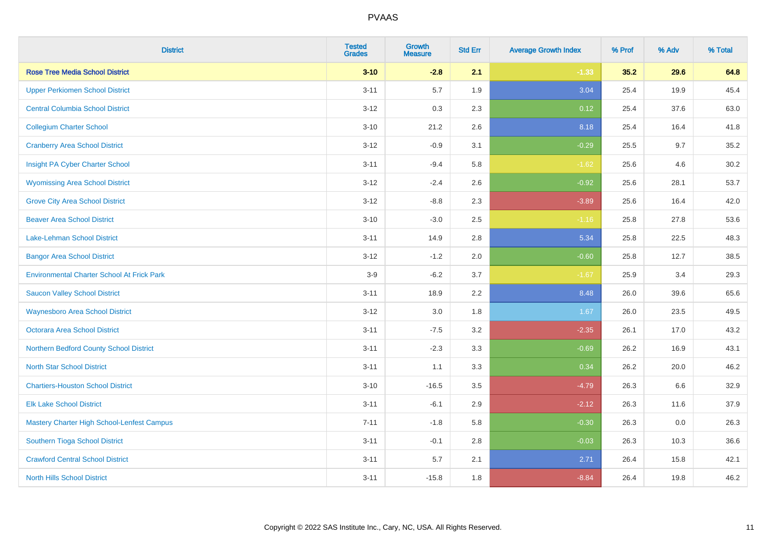| <b>District</b>                                   | <b>Tested</b><br><b>Grades</b> | <b>Growth</b><br><b>Measure</b> | <b>Std Err</b> | <b>Average Growth Index</b> | % Prof | % Adv | % Total |
|---------------------------------------------------|--------------------------------|---------------------------------|----------------|-----------------------------|--------|-------|---------|
| <b>Rose Tree Media School District</b>            | $3 - 10$                       | $-2.8$                          | 2.1            | $-1.33$                     | 35.2   | 29.6  | 64.8    |
| <b>Upper Perkiomen School District</b>            | $3 - 11$                       | 5.7                             | 1.9            | 3.04                        | 25.4   | 19.9  | 45.4    |
| <b>Central Columbia School District</b>           | $3 - 12$                       | 0.3                             | 2.3            | 0.12                        | 25.4   | 37.6  | 63.0    |
| <b>Collegium Charter School</b>                   | $3 - 10$                       | 21.2                            | 2.6            | 8.18                        | 25.4   | 16.4  | 41.8    |
| <b>Cranberry Area School District</b>             | $3 - 12$                       | $-0.9$                          | 3.1            | $-0.29$                     | 25.5   | 9.7   | 35.2    |
| Insight PA Cyber Charter School                   | $3 - 11$                       | $-9.4$                          | 5.8            | $-1.62$                     | 25.6   | 4.6   | 30.2    |
| <b>Wyomissing Area School District</b>            | $3 - 12$                       | $-2.4$                          | 2.6            | $-0.92$                     | 25.6   | 28.1  | 53.7    |
| <b>Grove City Area School District</b>            | $3 - 12$                       | $-8.8$                          | 2.3            | $-3.89$                     | 25.6   | 16.4  | 42.0    |
| <b>Beaver Area School District</b>                | $3 - 10$                       | $-3.0$                          | 2.5            | $-1.16$                     | 25.8   | 27.8  | 53.6    |
| Lake-Lehman School District                       | $3 - 11$                       | 14.9                            | 2.8            | 5.34                        | 25.8   | 22.5  | 48.3    |
| <b>Bangor Area School District</b>                | $3 - 12$                       | $-1.2$                          | 2.0            | $-0.60$                     | 25.8   | 12.7  | 38.5    |
| <b>Environmental Charter School At Frick Park</b> | $3-9$                          | $-6.2$                          | 3.7            | $-1.67$                     | 25.9   | 3.4   | 29.3    |
| <b>Saucon Valley School District</b>              | $3 - 11$                       | 18.9                            | 2.2            | 8.48                        | 26.0   | 39.6  | 65.6    |
| <b>Waynesboro Area School District</b>            | $3 - 12$                       | 3.0                             | 1.8            | 1.67                        | 26.0   | 23.5  | 49.5    |
| <b>Octorara Area School District</b>              | $3 - 11$                       | $-7.5$                          | 3.2            | $-2.35$                     | 26.1   | 17.0  | 43.2    |
| Northern Bedford County School District           | $3 - 11$                       | $-2.3$                          | 3.3            | $-0.69$                     | 26.2   | 16.9  | 43.1    |
| <b>North Star School District</b>                 | $3 - 11$                       | 1.1                             | 3.3            | 0.34                        | 26.2   | 20.0  | 46.2    |
| <b>Chartiers-Houston School District</b>          | $3 - 10$                       | $-16.5$                         | 3.5            | $-4.79$                     | 26.3   | 6.6   | 32.9    |
| <b>Elk Lake School District</b>                   | $3 - 11$                       | $-6.1$                          | 2.9            | $-2.12$                     | 26.3   | 11.6  | 37.9    |
| Mastery Charter High School-Lenfest Campus        | $7 - 11$                       | $-1.8$                          | 5.8            | $-0.30$                     | 26.3   | 0.0   | 26.3    |
| Southern Tioga School District                    | $3 - 11$                       | $-0.1$                          | 2.8            | $-0.03$                     | 26.3   | 10.3  | 36.6    |
| <b>Crawford Central School District</b>           | $3 - 11$                       | 5.7                             | 2.1            | 2.71                        | 26.4   | 15.8  | 42.1    |
| <b>North Hills School District</b>                | $3 - 11$                       | $-15.8$                         | 1.8            | $-8.84$                     | 26.4   | 19.8  | 46.2    |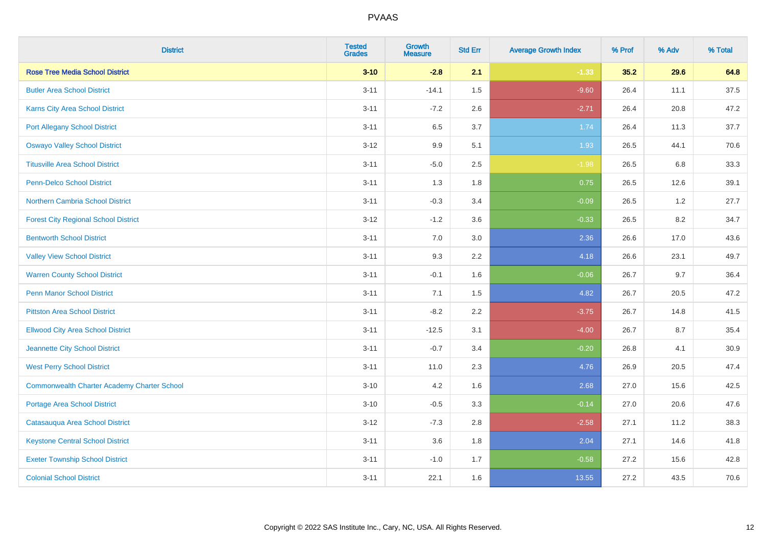| <b>District</b>                                    | <b>Tested</b><br><b>Grades</b> | <b>Growth</b><br><b>Measure</b> | <b>Std Err</b> | <b>Average Growth Index</b> | % Prof | % Adv | % Total  |
|----------------------------------------------------|--------------------------------|---------------------------------|----------------|-----------------------------|--------|-------|----------|
| <b>Rose Tree Media School District</b>             | $3 - 10$                       | $-2.8$                          | 2.1            | $-1.33$                     | 35.2   | 29.6  | 64.8     |
| <b>Butler Area School District</b>                 | $3 - 11$                       | $-14.1$                         | 1.5            | $-9.60$                     | 26.4   | 11.1  | 37.5     |
| Karns City Area School District                    | $3 - 11$                       | $-7.2$                          | 2.6            | $-2.71$                     | 26.4   | 20.8  | 47.2     |
| <b>Port Allegany School District</b>               | $3 - 11$                       | 6.5                             | 3.7            | 1.74                        | 26.4   | 11.3  | 37.7     |
| <b>Oswayo Valley School District</b>               | $3 - 12$                       | 9.9                             | 5.1            | 1.93                        | 26.5   | 44.1  | 70.6     |
| <b>Titusville Area School District</b>             | $3 - 11$                       | $-5.0$                          | 2.5            | $-1.98$                     | 26.5   | 6.8   | 33.3     |
| Penn-Delco School District                         | $3 - 11$                       | 1.3                             | 1.8            | 0.75                        | 26.5   | 12.6  | 39.1     |
| Northern Cambria School District                   | $3 - 11$                       | $-0.3$                          | 3.4            | $-0.09$                     | 26.5   | 1.2   | 27.7     |
| <b>Forest City Regional School District</b>        | $3 - 12$                       | $-1.2$                          | 3.6            | $-0.33$                     | 26.5   | 8.2   | 34.7     |
| <b>Bentworth School District</b>                   | $3 - 11$                       | 7.0                             | 3.0            | 2.36                        | 26.6   | 17.0  | 43.6     |
| <b>Valley View School District</b>                 | $3 - 11$                       | 9.3                             | 2.2            | 4.18                        | 26.6   | 23.1  | 49.7     |
| <b>Warren County School District</b>               | $3 - 11$                       | $-0.1$                          | 1.6            | $-0.06$                     | 26.7   | 9.7   | 36.4     |
| <b>Penn Manor School District</b>                  | $3 - 11$                       | 7.1                             | 1.5            | 4.82                        | 26.7   | 20.5  | 47.2     |
| <b>Pittston Area School District</b>               | $3 - 11$                       | $-8.2$                          | 2.2            | $-3.75$                     | 26.7   | 14.8  | 41.5     |
| <b>Ellwood City Area School District</b>           | $3 - 11$                       | $-12.5$                         | 3.1            | $-4.00$                     | 26.7   | 8.7   | 35.4     |
| Jeannette City School District                     | $3 - 11$                       | $-0.7$                          | 3.4            | $-0.20$                     | 26.8   | 4.1   | $30.9\,$ |
| <b>West Perry School District</b>                  | $3 - 11$                       | 11.0                            | 2.3            | 4.76                        | 26.9   | 20.5  | 47.4     |
| <b>Commonwealth Charter Academy Charter School</b> | $3 - 10$                       | 4.2                             | 1.6            | 2.68                        | 27.0   | 15.6  | 42.5     |
| <b>Portage Area School District</b>                | $3 - 10$                       | $-0.5$                          | 3.3            | $-0.14$                     | 27.0   | 20.6  | 47.6     |
| Catasauqua Area School District                    | $3-12$                         | $-7.3$                          | 2.8            | $-2.58$                     | 27.1   | 11.2  | 38.3     |
| <b>Keystone Central School District</b>            | $3 - 11$                       | 3.6                             | 1.8            | 2.04                        | 27.1   | 14.6  | 41.8     |
| <b>Exeter Township School District</b>             | $3 - 11$                       | $-1.0$                          | 1.7            | $-0.58$                     | 27.2   | 15.6  | 42.8     |
| <b>Colonial School District</b>                    | $3 - 11$                       | 22.1                            | 1.6            | 13.55                       | 27.2   | 43.5  | 70.6     |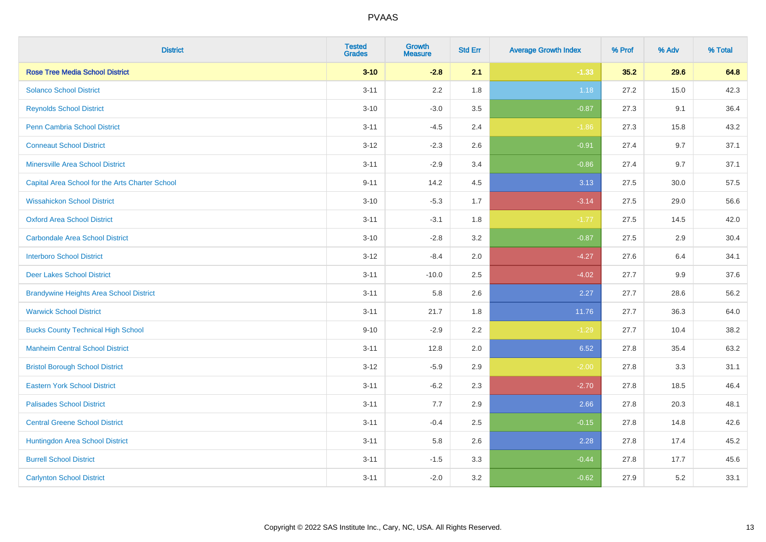| <b>District</b>                                 | <b>Tested</b><br><b>Grades</b> | <b>Growth</b><br><b>Measure</b> | <b>Std Err</b> | <b>Average Growth Index</b> | % Prof | % Adv | % Total |
|-------------------------------------------------|--------------------------------|---------------------------------|----------------|-----------------------------|--------|-------|---------|
| <b>Rose Tree Media School District</b>          | $3 - 10$                       | $-2.8$                          | 2.1            | $-1.33$                     | 35.2   | 29.6  | 64.8    |
| <b>Solanco School District</b>                  | $3 - 11$                       | 2.2                             | 1.8            | 1.18                        | 27.2   | 15.0  | 42.3    |
| <b>Reynolds School District</b>                 | $3 - 10$                       | $-3.0$                          | 3.5            | $-0.87$                     | 27.3   | 9.1   | 36.4    |
| Penn Cambria School District                    | $3 - 11$                       | $-4.5$                          | 2.4            | $-1.86$                     | 27.3   | 15.8  | 43.2    |
| <b>Conneaut School District</b>                 | $3 - 12$                       | $-2.3$                          | 2.6            | $-0.91$                     | 27.4   | 9.7   | 37.1    |
| <b>Minersville Area School District</b>         | $3 - 11$                       | $-2.9$                          | 3.4            | $-0.86$                     | 27.4   | 9.7   | 37.1    |
| Capital Area School for the Arts Charter School | $9 - 11$                       | 14.2                            | 4.5            | 3.13                        | 27.5   | 30.0  | 57.5    |
| <b>Wissahickon School District</b>              | $3 - 10$                       | $-5.3$                          | 1.7            | $-3.14$                     | 27.5   | 29.0  | 56.6    |
| <b>Oxford Area School District</b>              | $3 - 11$                       | $-3.1$                          | 1.8            | $-1.77$                     | 27.5   | 14.5  | 42.0    |
| <b>Carbondale Area School District</b>          | $3 - 10$                       | $-2.8$                          | 3.2            | $-0.87$                     | 27.5   | 2.9   | 30.4    |
| <b>Interboro School District</b>                | $3 - 12$                       | $-8.4$                          | 2.0            | $-4.27$                     | 27.6   | 6.4   | 34.1    |
| <b>Deer Lakes School District</b>               | $3 - 11$                       | $-10.0$                         | 2.5            | $-4.02$                     | 27.7   | 9.9   | 37.6    |
| <b>Brandywine Heights Area School District</b>  | $3 - 11$                       | 5.8                             | 2.6            | 2.27                        | 27.7   | 28.6  | 56.2    |
| <b>Warwick School District</b>                  | $3 - 11$                       | 21.7                            | 1.8            | 11.76                       | 27.7   | 36.3  | 64.0    |
| <b>Bucks County Technical High School</b>       | $9 - 10$                       | $-2.9$                          | 2.2            | $-1.29$                     | 27.7   | 10.4  | 38.2    |
| <b>Manheim Central School District</b>          | $3 - 11$                       | 12.8                            | 2.0            | 6.52                        | 27.8   | 35.4  | 63.2    |
| <b>Bristol Borough School District</b>          | $3 - 12$                       | $-5.9$                          | 2.9            | $-2.00$                     | 27.8   | 3.3   | 31.1    |
| <b>Eastern York School District</b>             | $3 - 11$                       | $-6.2$                          | 2.3            | $-2.70$                     | 27.8   | 18.5  | 46.4    |
| <b>Palisades School District</b>                | $3 - 11$                       | 7.7                             | 2.9            | 2.66                        | 27.8   | 20.3  | 48.1    |
| <b>Central Greene School District</b>           | $3 - 11$                       | $-0.4$                          | 2.5            | $-0.15$                     | 27.8   | 14.8  | 42.6    |
| Huntingdon Area School District                 | $3 - 11$                       | 5.8                             | 2.6            | 2.28                        | 27.8   | 17.4  | 45.2    |
| <b>Burrell School District</b>                  | $3 - 11$                       | $-1.5$                          | 3.3            | $-0.44$                     | 27.8   | 17.7  | 45.6    |
| <b>Carlynton School District</b>                | $3 - 11$                       | $-2.0$                          | 3.2            | $-0.62$                     | 27.9   | 5.2   | 33.1    |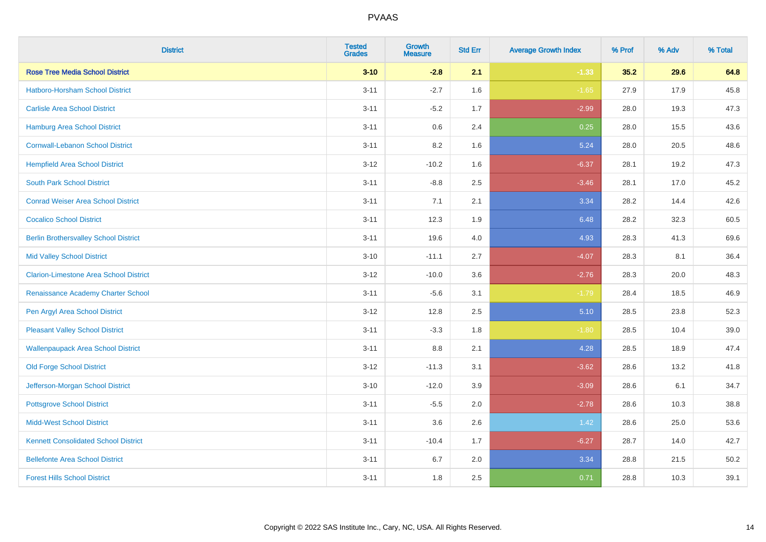| <b>District</b>                               | <b>Tested</b><br><b>Grades</b> | Growth<br><b>Measure</b> | <b>Std Err</b> | <b>Average Growth Index</b> | % Prof | % Adv | % Total |
|-----------------------------------------------|--------------------------------|--------------------------|----------------|-----------------------------|--------|-------|---------|
| <b>Rose Tree Media School District</b>        | $3 - 10$                       | $-2.8$                   | 2.1            | $-1.33$                     | 35.2   | 29.6  | 64.8    |
| Hatboro-Horsham School District               | $3 - 11$                       | $-2.7$                   | 1.6            | $-1.65$                     | 27.9   | 17.9  | 45.8    |
| <b>Carlisle Area School District</b>          | $3 - 11$                       | $-5.2$                   | 1.7            | $-2.99$                     | 28.0   | 19.3  | 47.3    |
| Hamburg Area School District                  | $3 - 11$                       | 0.6                      | 2.4            | 0.25                        | 28.0   | 15.5  | 43.6    |
| <b>Cornwall-Lebanon School District</b>       | $3 - 11$                       | 8.2                      | 1.6            | 5.24                        | 28.0   | 20.5  | 48.6    |
| <b>Hempfield Area School District</b>         | $3 - 12$                       | $-10.2$                  | 1.6            | $-6.37$                     | 28.1   | 19.2  | 47.3    |
| <b>South Park School District</b>             | $3 - 11$                       | $-8.8$                   | 2.5            | $-3.46$                     | 28.1   | 17.0  | 45.2    |
| <b>Conrad Weiser Area School District</b>     | $3 - 11$                       | 7.1                      | 2.1            | 3.34                        | 28.2   | 14.4  | 42.6    |
| <b>Cocalico School District</b>               | $3 - 11$                       | 12.3                     | 1.9            | 6.48                        | 28.2   | 32.3  | 60.5    |
| <b>Berlin Brothersvalley School District</b>  | $3 - 11$                       | 19.6                     | 4.0            | 4.93                        | 28.3   | 41.3  | 69.6    |
| <b>Mid Valley School District</b>             | $3 - 10$                       | $-11.1$                  | 2.7            | $-4.07$                     | 28.3   | 8.1   | 36.4    |
| <b>Clarion-Limestone Area School District</b> | $3 - 12$                       | $-10.0$                  | 3.6            | $-2.76$                     | 28.3   | 20.0  | 48.3    |
| Renaissance Academy Charter School            | $3 - 11$                       | $-5.6$                   | 3.1            | $-1.79$                     | 28.4   | 18.5  | 46.9    |
| Pen Argyl Area School District                | $3 - 12$                       | 12.8                     | 2.5            | 5.10                        | 28.5   | 23.8  | 52.3    |
| <b>Pleasant Valley School District</b>        | $3 - 11$                       | $-3.3$                   | 1.8            | $-1.80$                     | 28.5   | 10.4  | 39.0    |
| <b>Wallenpaupack Area School District</b>     | $3 - 11$                       | $8.8\,$                  | 2.1            | 4.28                        | 28.5   | 18.9  | 47.4    |
| Old Forge School District                     | $3 - 12$                       | $-11.3$                  | 3.1            | $-3.62$                     | 28.6   | 13.2  | 41.8    |
| Jefferson-Morgan School District              | $3 - 10$                       | $-12.0$                  | 3.9            | $-3.09$                     | 28.6   | 6.1   | 34.7    |
| <b>Pottsgrove School District</b>             | $3 - 11$                       | $-5.5$                   | 2.0            | $-2.78$                     | 28.6   | 10.3  | 38.8    |
| <b>Midd-West School District</b>              | $3 - 11$                       | 3.6                      | 2.6            | 1.42                        | 28.6   | 25.0  | 53.6    |
| <b>Kennett Consolidated School District</b>   | $3 - 11$                       | $-10.4$                  | 1.7            | $-6.27$                     | 28.7   | 14.0  | 42.7    |
| <b>Bellefonte Area School District</b>        | $3 - 11$                       | 6.7                      | 2.0            | 3.34                        | 28.8   | 21.5  | 50.2    |
| <b>Forest Hills School District</b>           | $3 - 11$                       | 1.8                      | 2.5            | 0.71                        | 28.8   | 10.3  | 39.1    |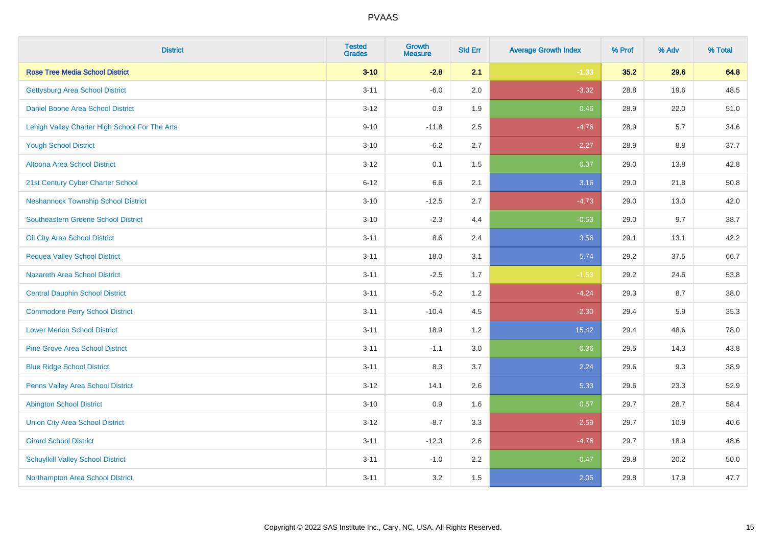| <b>District</b>                                | <b>Tested</b><br><b>Grades</b> | <b>Growth</b><br><b>Measure</b> | <b>Std Err</b> | <b>Average Growth Index</b> | % Prof | % Adv | % Total |
|------------------------------------------------|--------------------------------|---------------------------------|----------------|-----------------------------|--------|-------|---------|
| <b>Rose Tree Media School District</b>         | $3 - 10$                       | $-2.8$                          | 2.1            | $-1.33$                     | 35.2   | 29.6  | 64.8    |
| <b>Gettysburg Area School District</b>         | $3 - 11$                       | $-6.0$                          | 2.0            | $-3.02$                     | 28.8   | 19.6  | 48.5    |
| Daniel Boone Area School District              | $3 - 12$                       | 0.9                             | 1.9            | 0.46                        | 28.9   | 22.0  | 51.0    |
| Lehigh Valley Charter High School For The Arts | $9 - 10$                       | $-11.8$                         | 2.5            | $-4.76$                     | 28.9   | 5.7   | 34.6    |
| <b>Yough School District</b>                   | $3 - 10$                       | $-6.2$                          | 2.7            | $-2.27$                     | 28.9   | 8.8   | 37.7    |
| Altoona Area School District                   | $3 - 12$                       | 0.1                             | 1.5            | 0.07                        | 29.0   | 13.8  | 42.8    |
| 21st Century Cyber Charter School              | $6 - 12$                       | 6.6                             | 2.1            | 3.16                        | 29.0   | 21.8  | 50.8    |
| <b>Neshannock Township School District</b>     | $3 - 10$                       | $-12.5$                         | 2.7            | $-4.73$                     | 29.0   | 13.0  | 42.0    |
| <b>Southeastern Greene School District</b>     | $3 - 10$                       | $-2.3$                          | 4.4            | $-0.53$                     | 29.0   | 9.7   | 38.7    |
| Oil City Area School District                  | $3 - 11$                       | 8.6                             | 2.4            | 3.56                        | 29.1   | 13.1  | 42.2    |
| <b>Pequea Valley School District</b>           | $3 - 11$                       | 18.0                            | 3.1            | 5.74                        | 29.2   | 37.5  | 66.7    |
| <b>Nazareth Area School District</b>           | $3 - 11$                       | $-2.5$                          | 1.7            | $-1.53$                     | 29.2   | 24.6  | 53.8    |
| <b>Central Dauphin School District</b>         | $3 - 11$                       | $-5.2$                          | 1.2            | $-4.24$                     | 29.3   | 8.7   | 38.0    |
| <b>Commodore Perry School District</b>         | $3 - 11$                       | $-10.4$                         | 4.5            | $-2.30$                     | 29.4   | 5.9   | 35.3    |
| <b>Lower Merion School District</b>            | $3 - 11$                       | 18.9                            | 1.2            | 15.42                       | 29.4   | 48.6  | 78.0    |
| <b>Pine Grove Area School District</b>         | $3 - 11$                       | $-1.1$                          | 3.0            | $-0.36$                     | 29.5   | 14.3  | 43.8    |
| <b>Blue Ridge School District</b>              | $3 - 11$                       | 8.3                             | 3.7            | 2.24                        | 29.6   | 9.3   | 38.9    |
| Penns Valley Area School District              | $3 - 12$                       | 14.1                            | 2.6            | 5.33                        | 29.6   | 23.3  | 52.9    |
| <b>Abington School District</b>                | $3 - 10$                       | 0.9                             | 1.6            | 0.57                        | 29.7   | 28.7  | 58.4    |
| <b>Union City Area School District</b>         | $3 - 12$                       | $-8.7$                          | 3.3            | $-2.59$                     | 29.7   | 10.9  | 40.6    |
| <b>Girard School District</b>                  | $3 - 11$                       | $-12.3$                         | 2.6            | $-4.76$                     | 29.7   | 18.9  | 48.6    |
| <b>Schuylkill Valley School District</b>       | $3 - 11$                       | $-1.0$                          | 2.2            | $-0.47$                     | 29.8   | 20.2  | 50.0    |
| Northampton Area School District               | $3 - 11$                       | 3.2                             | 1.5            | 2.05                        | 29.8   | 17.9  | 47.7    |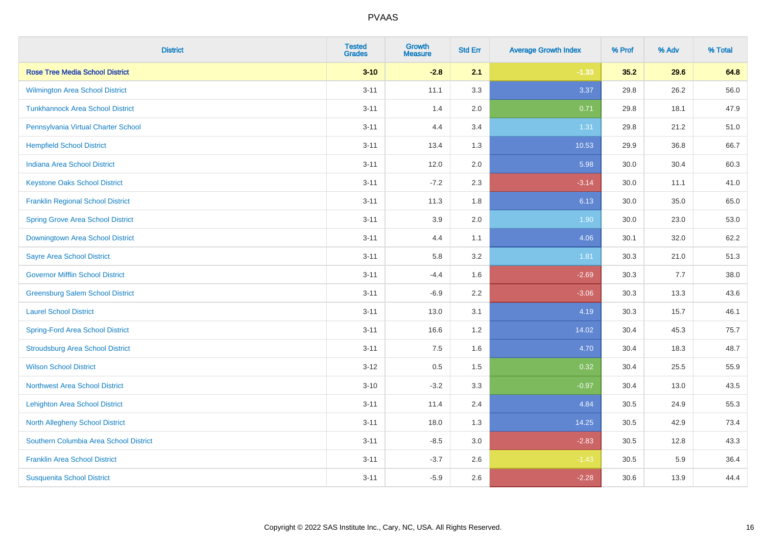| <b>District</b>                          | <b>Tested</b><br><b>Grades</b> | <b>Growth</b><br><b>Measure</b> | <b>Std Err</b> | <b>Average Growth Index</b> | % Prof | % Adv | % Total |
|------------------------------------------|--------------------------------|---------------------------------|----------------|-----------------------------|--------|-------|---------|
| <b>Rose Tree Media School District</b>   | $3 - 10$                       | $-2.8$                          | 2.1            | $-1.33$                     | 35.2   | 29.6  | 64.8    |
| Wilmington Area School District          | $3 - 11$                       | 11.1                            | 3.3            | 3.37                        | 29.8   | 26.2  | 56.0    |
| <b>Tunkhannock Area School District</b>  | $3 - 11$                       | 1.4                             | 2.0            | 0.71                        | 29.8   | 18.1  | 47.9    |
| Pennsylvania Virtual Charter School      | $3 - 11$                       | 4.4                             | 3.4            | 1.31                        | 29.8   | 21.2  | 51.0    |
| <b>Hempfield School District</b>         | $3 - 11$                       | 13.4                            | 1.3            | 10.53                       | 29.9   | 36.8  | 66.7    |
| <b>Indiana Area School District</b>      | $3 - 11$                       | 12.0                            | 2.0            | 5.98                        | 30.0   | 30.4  | 60.3    |
| <b>Keystone Oaks School District</b>     | $3 - 11$                       | $-7.2$                          | 2.3            | $-3.14$                     | 30.0   | 11.1  | 41.0    |
| <b>Franklin Regional School District</b> | $3 - 11$                       | 11.3                            | 1.8            | 6.13                        | 30.0   | 35.0  | 65.0    |
| <b>Spring Grove Area School District</b> | $3 - 11$                       | 3.9                             | 2.0            | 1.90                        | 30.0   | 23.0  | 53.0    |
| Downingtown Area School District         | $3 - 11$                       | 4.4                             | 1.1            | 4.06                        | 30.1   | 32.0  | 62.2    |
| <b>Sayre Area School District</b>        | $3 - 11$                       | 5.8                             | 3.2            | 1.81                        | 30.3   | 21.0  | 51.3    |
| <b>Governor Mifflin School District</b>  | $3 - 11$                       | $-4.4$                          | 1.6            | $-2.69$                     | 30.3   | 7.7   | 38.0    |
| <b>Greensburg Salem School District</b>  | $3 - 11$                       | $-6.9$                          | 2.2            | $-3.06$                     | 30.3   | 13.3  | 43.6    |
| <b>Laurel School District</b>            | $3 - 11$                       | 13.0                            | 3.1            | 4.19                        | 30.3   | 15.7  | 46.1    |
| <b>Spring-Ford Area School District</b>  | $3 - 11$                       | 16.6                            | 1.2            | 14.02                       | 30.4   | 45.3  | 75.7    |
| <b>Stroudsburg Area School District</b>  | $3 - 11$                       | $7.5\,$                         | 1.6            | 4.70                        | 30.4   | 18.3  | 48.7    |
| <b>Wilson School District</b>            | $3 - 12$                       | $0.5\,$                         | 1.5            | 0.32                        | 30.4   | 25.5  | 55.9    |
| <b>Northwest Area School District</b>    | $3 - 10$                       | $-3.2$                          | 3.3            | $-0.97$                     | 30.4   | 13.0  | 43.5    |
| <b>Lehighton Area School District</b>    | $3 - 11$                       | 11.4                            | 2.4            | 4.84                        | 30.5   | 24.9  | 55.3    |
| <b>North Allegheny School District</b>   | $3 - 11$                       | 18.0                            | 1.3            | 14.25                       | 30.5   | 42.9  | 73.4    |
| Southern Columbia Area School District   | $3 - 11$                       | $-8.5$                          | 3.0            | $-2.83$                     | 30.5   | 12.8  | 43.3    |
| <b>Franklin Area School District</b>     | $3 - 11$                       | $-3.7$                          | 2.6            | $-1.43$                     | 30.5   | 5.9   | 36.4    |
| <b>Susquenita School District</b>        | $3 - 11$                       | $-5.9$                          | 2.6            | $-2.28$                     | 30.6   | 13.9  | 44.4    |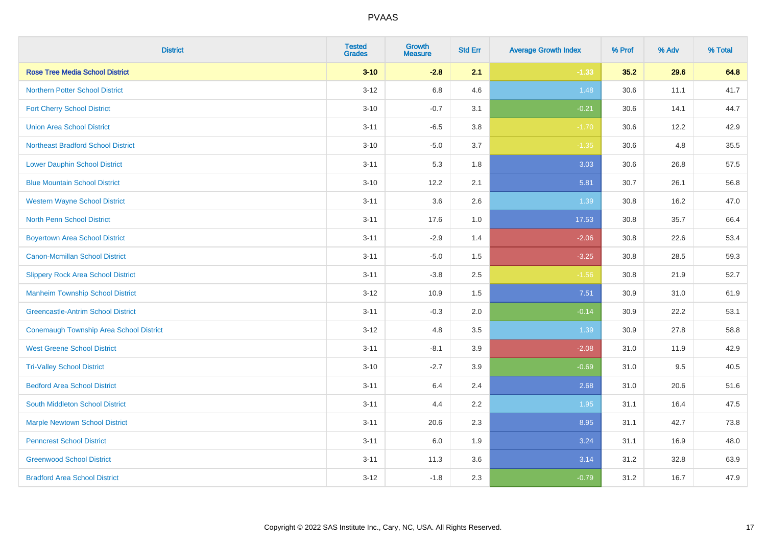| <b>District</b>                                | <b>Tested</b><br><b>Grades</b> | <b>Growth</b><br><b>Measure</b> | <b>Std Err</b> | <b>Average Growth Index</b> | % Prof | % Adv | % Total |
|------------------------------------------------|--------------------------------|---------------------------------|----------------|-----------------------------|--------|-------|---------|
| <b>Rose Tree Media School District</b>         | $3 - 10$                       | $-2.8$                          | 2.1            | $-1.33$                     | 35.2   | 29.6  | 64.8    |
| <b>Northern Potter School District</b>         | $3 - 12$                       | 6.8                             | 4.6            | 1.48                        | 30.6   | 11.1  | 41.7    |
| <b>Fort Cherry School District</b>             | $3 - 10$                       | $-0.7$                          | 3.1            | $-0.21$                     | 30.6   | 14.1  | 44.7    |
| <b>Union Area School District</b>              | $3 - 11$                       | $-6.5$                          | 3.8            | $-1.70$                     | 30.6   | 12.2  | 42.9    |
| <b>Northeast Bradford School District</b>      | $3 - 10$                       | $-5.0$                          | 3.7            | $-1.35$                     | 30.6   | 4.8   | 35.5    |
| <b>Lower Dauphin School District</b>           | $3 - 11$                       | 5.3                             | 1.8            | 3.03                        | 30.6   | 26.8  | 57.5    |
| <b>Blue Mountain School District</b>           | $3 - 10$                       | 12.2                            | 2.1            | 5.81                        | 30.7   | 26.1  | 56.8    |
| <b>Western Wayne School District</b>           | $3 - 11$                       | 3.6                             | 2.6            | 1.39                        | 30.8   | 16.2  | 47.0    |
| <b>North Penn School District</b>              | $3 - 11$                       | 17.6                            | 1.0            | 17.53                       | 30.8   | 35.7  | 66.4    |
| <b>Boyertown Area School District</b>          | $3 - 11$                       | $-2.9$                          | 1.4            | $-2.06$                     | 30.8   | 22.6  | 53.4    |
| <b>Canon-Mcmillan School District</b>          | $3 - 11$                       | $-5.0$                          | 1.5            | $-3.25$                     | 30.8   | 28.5  | 59.3    |
| <b>Slippery Rock Area School District</b>      | $3 - 11$                       | $-3.8$                          | 2.5            | $-1.56$                     | 30.8   | 21.9  | 52.7    |
| <b>Manheim Township School District</b>        | $3 - 12$                       | 10.9                            | 1.5            | 7.51                        | 30.9   | 31.0  | 61.9    |
| <b>Greencastle-Antrim School District</b>      | $3 - 11$                       | $-0.3$                          | 2.0            | $-0.14$                     | 30.9   | 22.2  | 53.1    |
| <b>Conemaugh Township Area School District</b> | $3-12$                         | 4.8                             | 3.5            | 1.39                        | 30.9   | 27.8  | 58.8    |
| <b>West Greene School District</b>             | $3 - 11$                       | $-8.1$                          | 3.9            | $-2.08$                     | 31.0   | 11.9  | 42.9    |
| <b>Tri-Valley School District</b>              | $3 - 10$                       | $-2.7$                          | 3.9            | $-0.69$                     | 31.0   | 9.5   | 40.5    |
| <b>Bedford Area School District</b>            | $3 - 11$                       | 6.4                             | 2.4            | 2.68                        | 31.0   | 20.6  | 51.6    |
| South Middleton School District                | $3 - 11$                       | 4.4                             | 2.2            | 1.95                        | 31.1   | 16.4  | 47.5    |
| <b>Marple Newtown School District</b>          | $3 - 11$                       | 20.6                            | 2.3            | 8.95                        | 31.1   | 42.7  | 73.8    |
| <b>Penncrest School District</b>               | $3 - 11$                       | 6.0                             | 1.9            | 3.24                        | 31.1   | 16.9  | 48.0    |
| <b>Greenwood School District</b>               | $3 - 11$                       | 11.3                            | 3.6            | 3.14                        | 31.2   | 32.8  | 63.9    |
| <b>Bradford Area School District</b>           | $3 - 12$                       | $-1.8$                          | 2.3            | $-0.79$                     | 31.2   | 16.7  | 47.9    |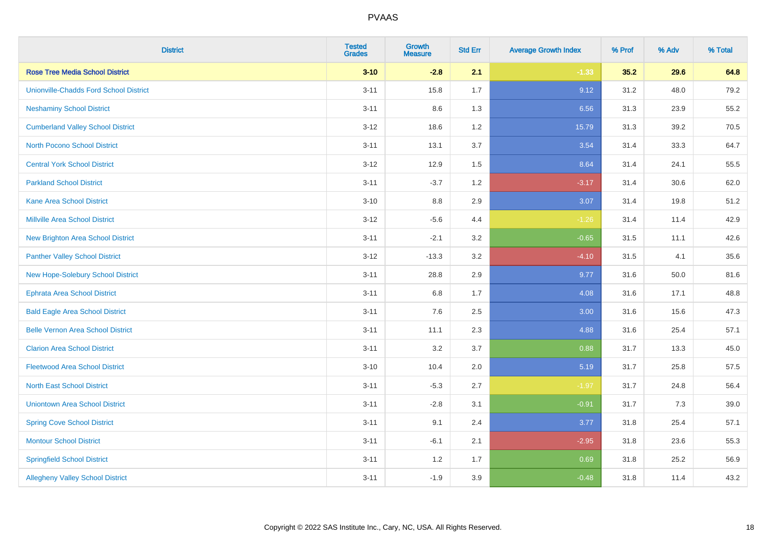| <b>District</b>                               | <b>Tested</b><br><b>Grades</b> | Growth<br><b>Measure</b> | <b>Std Err</b> | <b>Average Growth Index</b> | % Prof | % Adv | % Total |
|-----------------------------------------------|--------------------------------|--------------------------|----------------|-----------------------------|--------|-------|---------|
| <b>Rose Tree Media School District</b>        | $3 - 10$                       | $-2.8$                   | 2.1            | $-1.33$                     | 35.2   | 29.6  | 64.8    |
| <b>Unionville-Chadds Ford School District</b> | $3 - 11$                       | 15.8                     | 1.7            | 9.12                        | 31.2   | 48.0  | 79.2    |
| <b>Neshaminy School District</b>              | $3 - 11$                       | 8.6                      | 1.3            | 6.56                        | 31.3   | 23.9  | 55.2    |
| <b>Cumberland Valley School District</b>      | $3 - 12$                       | 18.6                     | 1.2            | 15.79                       | 31.3   | 39.2  | 70.5    |
| <b>North Pocono School District</b>           | $3 - 11$                       | 13.1                     | 3.7            | 3.54                        | 31.4   | 33.3  | 64.7    |
| <b>Central York School District</b>           | $3 - 12$                       | 12.9                     | 1.5            | 8.64                        | 31.4   | 24.1  | 55.5    |
| <b>Parkland School District</b>               | $3 - 11$                       | $-3.7$                   | 1.2            | $-3.17$                     | 31.4   | 30.6  | 62.0    |
| <b>Kane Area School District</b>              | $3 - 10$                       | $8.8\,$                  | 2.9            | 3.07                        | 31.4   | 19.8  | 51.2    |
| <b>Millville Area School District</b>         | $3 - 12$                       | $-5.6$                   | 4.4            | $-1.26$                     | 31.4   | 11.4  | 42.9    |
| <b>New Brighton Area School District</b>      | $3 - 11$                       | $-2.1$                   | 3.2            | $-0.65$                     | 31.5   | 11.1  | 42.6    |
| <b>Panther Valley School District</b>         | $3 - 12$                       | $-13.3$                  | 3.2            | $-4.10$                     | 31.5   | 4.1   | 35.6    |
| New Hope-Solebury School District             | $3 - 11$                       | 28.8                     | 2.9            | 9.77                        | 31.6   | 50.0  | 81.6    |
| <b>Ephrata Area School District</b>           | $3 - 11$                       | 6.8                      | 1.7            | 4.08                        | 31.6   | 17.1  | 48.8    |
| <b>Bald Eagle Area School District</b>        | $3 - 11$                       | 7.6                      | 2.5            | 3.00                        | 31.6   | 15.6  | 47.3    |
| <b>Belle Vernon Area School District</b>      | $3 - 11$                       | 11.1                     | 2.3            | 4.88                        | 31.6   | 25.4  | 57.1    |
| <b>Clarion Area School District</b>           | $3 - 11$                       | 3.2                      | 3.7            | 0.88                        | 31.7   | 13.3  | 45.0    |
| <b>Fleetwood Area School District</b>         | $3 - 10$                       | 10.4                     | 2.0            | 5.19                        | 31.7   | 25.8  | 57.5    |
| <b>North East School District</b>             | $3 - 11$                       | $-5.3$                   | 2.7            | $-1.97$                     | 31.7   | 24.8  | 56.4    |
| <b>Uniontown Area School District</b>         | $3 - 11$                       | $-2.8$                   | 3.1            | $-0.91$                     | 31.7   | 7.3   | 39.0    |
| <b>Spring Cove School District</b>            | $3 - 11$                       | 9.1                      | 2.4            | 3.77                        | 31.8   | 25.4  | 57.1    |
| <b>Montour School District</b>                | $3 - 11$                       | $-6.1$                   | 2.1            | $-2.95$                     | 31.8   | 23.6  | 55.3    |
| <b>Springfield School District</b>            | $3 - 11$                       | 1.2                      | 1.7            | 0.69                        | 31.8   | 25.2  | 56.9    |
| <b>Allegheny Valley School District</b>       | $3 - 11$                       | $-1.9$                   | 3.9            | $-0.48$                     | 31.8   | 11.4  | 43.2    |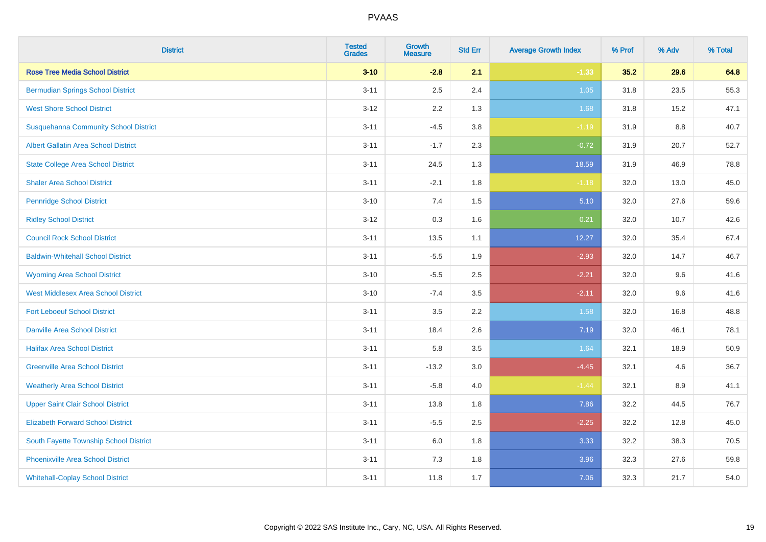| <b>District</b>                              | <b>Tested</b><br><b>Grades</b> | Growth<br><b>Measure</b> | <b>Std Err</b> | <b>Average Growth Index</b> | % Prof | % Adv   | % Total |
|----------------------------------------------|--------------------------------|--------------------------|----------------|-----------------------------|--------|---------|---------|
| <b>Rose Tree Media School District</b>       | $3 - 10$                       | $-2.8$                   | 2.1            | $-1.33$                     | 35.2   | 29.6    | 64.8    |
| <b>Bermudian Springs School District</b>     | $3 - 11$                       | 2.5                      | 2.4            | 1.05                        | 31.8   | 23.5    | 55.3    |
| <b>West Shore School District</b>            | $3 - 12$                       | 2.2                      | 1.3            | 1.68                        | 31.8   | 15.2    | 47.1    |
| <b>Susquehanna Community School District</b> | $3 - 11$                       | $-4.5$                   | 3.8            | $-1.19$                     | 31.9   | $8.8\,$ | 40.7    |
| Albert Gallatin Area School District         | $3 - 11$                       | $-1.7$                   | 2.3            | $-0.72$                     | 31.9   | 20.7    | 52.7    |
| <b>State College Area School District</b>    | $3 - 11$                       | 24.5                     | 1.3            | 18.59                       | 31.9   | 46.9    | 78.8    |
| <b>Shaler Area School District</b>           | $3 - 11$                       | $-2.1$                   | 1.8            | $-1.18$                     | 32.0   | 13.0    | 45.0    |
| <b>Pennridge School District</b>             | $3 - 10$                       | 7.4                      | 1.5            | 5.10                        | 32.0   | 27.6    | 59.6    |
| <b>Ridley School District</b>                | $3 - 12$                       | 0.3                      | 1.6            | 0.21                        | 32.0   | 10.7    | 42.6    |
| <b>Council Rock School District</b>          | $3 - 11$                       | 13.5                     | 1.1            | 12.27                       | 32.0   | 35.4    | 67.4    |
| <b>Baldwin-Whitehall School District</b>     | $3 - 11$                       | $-5.5$                   | 1.9            | $-2.93$                     | 32.0   | 14.7    | 46.7    |
| <b>Wyoming Area School District</b>          | $3 - 10$                       | $-5.5$                   | 2.5            | $-2.21$                     | 32.0   | 9.6     | 41.6    |
| <b>West Middlesex Area School District</b>   | $3 - 10$                       | $-7.4$                   | 3.5            | $-2.11$                     | 32.0   | 9.6     | 41.6    |
| <b>Fort Leboeuf School District</b>          | $3 - 11$                       | 3.5                      | 2.2            | 1.58                        | 32.0   | 16.8    | 48.8    |
| <b>Danville Area School District</b>         | $3 - 11$                       | 18.4                     | 2.6            | 7.19                        | 32.0   | 46.1    | 78.1    |
| <b>Halifax Area School District</b>          | $3 - 11$                       | 5.8                      | 3.5            | 1.64                        | 32.1   | 18.9    | 50.9    |
| <b>Greenville Area School District</b>       | $3 - 11$                       | $-13.2$                  | 3.0            | $-4.45$                     | 32.1   | 4.6     | 36.7    |
| <b>Weatherly Area School District</b>        | $3 - 11$                       | $-5.8$                   | 4.0            | $-1.44$                     | 32.1   | 8.9     | 41.1    |
| <b>Upper Saint Clair School District</b>     | $3 - 11$                       | 13.8                     | 1.8            | 7.86                        | 32.2   | 44.5    | 76.7    |
| <b>Elizabeth Forward School District</b>     | $3 - 11$                       | $-5.5$                   | 2.5            | $-2.25$                     | 32.2   | 12.8    | 45.0    |
| South Fayette Township School District       | $3 - 11$                       | 6.0                      | 1.8            | 3.33                        | 32.2   | 38.3    | 70.5    |
| Phoenixville Area School District            | $3 - 11$                       | 7.3                      | 1.8            | 3.96                        | 32.3   | 27.6    | 59.8    |
| <b>Whitehall-Coplay School District</b>      | $3 - 11$                       | 11.8                     | 1.7            | 7.06                        | 32.3   | 21.7    | 54.0    |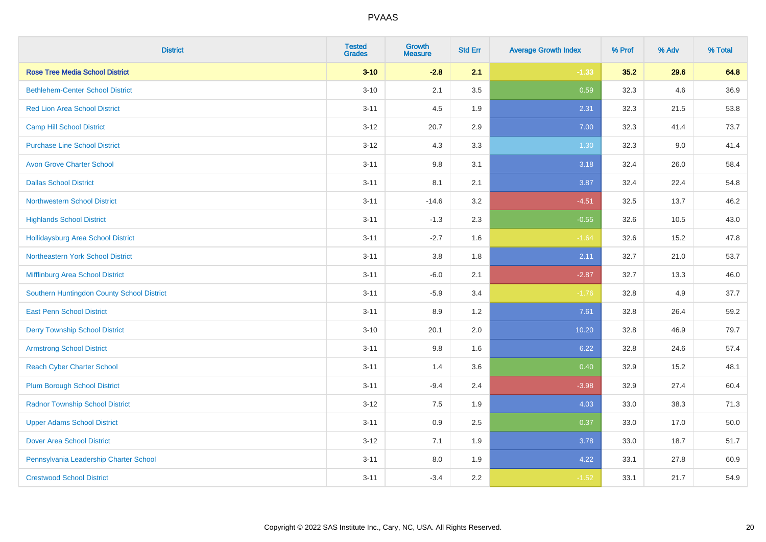| <b>District</b>                            | <b>Tested</b><br><b>Grades</b> | <b>Growth</b><br><b>Measure</b> | <b>Std Err</b> | <b>Average Growth Index</b> | % Prof | % Adv | % Total |
|--------------------------------------------|--------------------------------|---------------------------------|----------------|-----------------------------|--------|-------|---------|
| <b>Rose Tree Media School District</b>     | $3 - 10$                       | $-2.8$                          | 2.1            | $-1.33$                     | 35.2   | 29.6  | 64.8    |
| <b>Bethlehem-Center School District</b>    | $3 - 10$                       | 2.1                             | 3.5            | 0.59                        | 32.3   | 4.6   | 36.9    |
| <b>Red Lion Area School District</b>       | $3 - 11$                       | 4.5                             | 1.9            | 2.31                        | 32.3   | 21.5  | 53.8    |
| <b>Camp Hill School District</b>           | $3 - 12$                       | 20.7                            | 2.9            | 7.00                        | 32.3   | 41.4  | 73.7    |
| <b>Purchase Line School District</b>       | $3 - 12$                       | 4.3                             | 3.3            | 1.30                        | 32.3   | 9.0   | 41.4    |
| <b>Avon Grove Charter School</b>           | $3 - 11$                       | 9.8                             | 3.1            | 3.18                        | 32.4   | 26.0  | 58.4    |
| <b>Dallas School District</b>              | $3 - 11$                       | 8.1                             | 2.1            | 3.87                        | 32.4   | 22.4  | 54.8    |
| <b>Northwestern School District</b>        | $3 - 11$                       | $-14.6$                         | 3.2            | $-4.51$                     | 32.5   | 13.7  | 46.2    |
| <b>Highlands School District</b>           | $3 - 11$                       | $-1.3$                          | 2.3            | $-0.55$                     | 32.6   | 10.5  | 43.0    |
| <b>Hollidaysburg Area School District</b>  | $3 - 11$                       | $-2.7$                          | 1.6            | $-1.64$                     | 32.6   | 15.2  | 47.8    |
| Northeastern York School District          | $3 - 11$                       | 3.8                             | 1.8            | 2.11                        | 32.7   | 21.0  | 53.7    |
| Mifflinburg Area School District           | $3 - 11$                       | $-6.0$                          | 2.1            | $-2.87$                     | 32.7   | 13.3  | 46.0    |
| Southern Huntingdon County School District | $3 - 11$                       | $-5.9$                          | 3.4            | $-1.76$                     | 32.8   | 4.9   | 37.7    |
| <b>East Penn School District</b>           | $3 - 11$                       | 8.9                             | 1.2            | 7.61                        | 32.8   | 26.4  | 59.2    |
| <b>Derry Township School District</b>      | $3 - 10$                       | 20.1                            | 2.0            | 10.20                       | 32.8   | 46.9  | 79.7    |
| <b>Armstrong School District</b>           | $3 - 11$                       | 9.8                             | 1.6            | 6.22                        | 32.8   | 24.6  | 57.4    |
| <b>Reach Cyber Charter School</b>          | $3 - 11$                       | 1.4                             | 3.6            | 0.40                        | 32.9   | 15.2  | 48.1    |
| <b>Plum Borough School District</b>        | $3 - 11$                       | $-9.4$                          | 2.4            | $-3.98$                     | 32.9   | 27.4  | 60.4    |
| <b>Radnor Township School District</b>     | $3 - 12$                       | 7.5                             | 1.9            | 4.03                        | 33.0   | 38.3  | 71.3    |
| <b>Upper Adams School District</b>         | $3 - 11$                       | 0.9                             | 2.5            | 0.37                        | 33.0   | 17.0  | 50.0    |
| <b>Dover Area School District</b>          | $3 - 12$                       | 7.1                             | 1.9            | 3.78                        | 33.0   | 18.7  | 51.7    |
| Pennsylvania Leadership Charter School     | $3 - 11$                       | 8.0                             | 1.9            | 4.22                        | 33.1   | 27.8  | 60.9    |
| <b>Crestwood School District</b>           | $3 - 11$                       | $-3.4$                          | 2.2            | $-1.52$                     | 33.1   | 21.7  | 54.9    |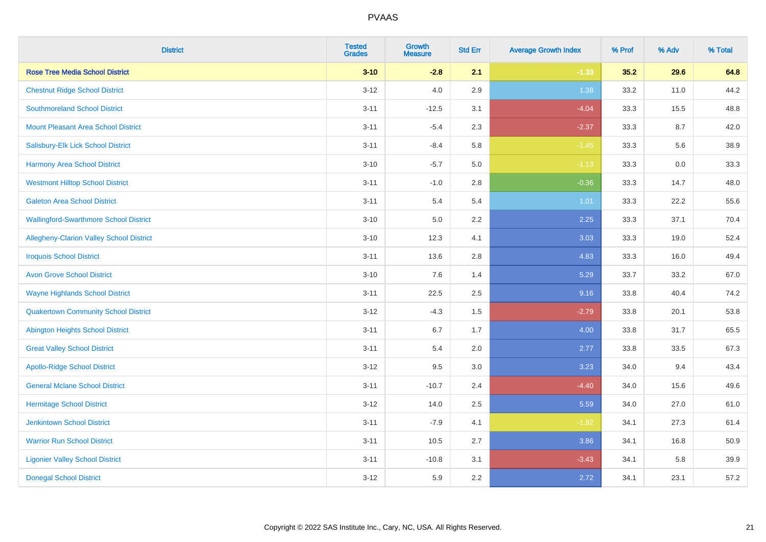| <b>District</b>                                 | <b>Tested</b><br><b>Grades</b> | <b>Growth</b><br><b>Measure</b> | <b>Std Err</b> | <b>Average Growth Index</b> | % Prof | % Adv | % Total |
|-------------------------------------------------|--------------------------------|---------------------------------|----------------|-----------------------------|--------|-------|---------|
| <b>Rose Tree Media School District</b>          | $3 - 10$                       | $-2.8$                          | 2.1            | $-1.33$                     | 35.2   | 29.6  | 64.8    |
| <b>Chestnut Ridge School District</b>           | $3 - 12$                       | 4.0                             | 2.9            | 1.38                        | 33.2   | 11.0  | 44.2    |
| <b>Southmoreland School District</b>            | $3 - 11$                       | $-12.5$                         | 3.1            | $-4.04$                     | 33.3   | 15.5  | 48.8    |
| <b>Mount Pleasant Area School District</b>      | $3 - 11$                       | $-5.4$                          | 2.3            | $-2.37$                     | 33.3   | 8.7   | 42.0    |
| Salisbury-Elk Lick School District              | $3 - 11$                       | $-8.4$                          | 5.8            | $-1.45$                     | 33.3   | 5.6   | 38.9    |
| <b>Harmony Area School District</b>             | $3 - 10$                       | $-5.7$                          | 5.0            | $-1.13$                     | 33.3   | 0.0   | 33.3    |
| <b>Westmont Hilltop School District</b>         | $3 - 11$                       | $-1.0$                          | 2.8            | $-0.36$                     | 33.3   | 14.7  | 48.0    |
| <b>Galeton Area School District</b>             | $3 - 11$                       | 5.4                             | 5.4            | 1.01                        | 33.3   | 22.2  | 55.6    |
| <b>Wallingford-Swarthmore School District</b>   | $3 - 10$                       | 5.0                             | 2.2            | 2.25                        | 33.3   | 37.1  | 70.4    |
| <b>Allegheny-Clarion Valley School District</b> | $3 - 10$                       | 12.3                            | 4.1            | 3.03                        | 33.3   | 19.0  | 52.4    |
| <b>Iroquois School District</b>                 | $3 - 11$                       | 13.6                            | 2.8            | 4.83                        | 33.3   | 16.0  | 49.4    |
| <b>Avon Grove School District</b>               | $3 - 10$                       | 7.6                             | 1.4            | 5.29                        | 33.7   | 33.2  | 67.0    |
| <b>Wayne Highlands School District</b>          | $3 - 11$                       | 22.5                            | 2.5            | 9.16                        | 33.8   | 40.4  | 74.2    |
| <b>Quakertown Community School District</b>     | $3 - 12$                       | $-4.3$                          | 1.5            | $-2.79$                     | 33.8   | 20.1  | 53.8    |
| <b>Abington Heights School District</b>         | $3 - 11$                       | 6.7                             | 1.7            | 4.00                        | 33.8   | 31.7  | 65.5    |
| <b>Great Valley School District</b>             | $3 - 11$                       | 5.4                             | 2.0            | 2.77                        | 33.8   | 33.5  | 67.3    |
| <b>Apollo-Ridge School District</b>             | $3 - 12$                       | 9.5                             | 3.0            | 3.23                        | 34.0   | 9.4   | 43.4    |
| <b>General Mclane School District</b>           | $3 - 11$                       | $-10.7$                         | 2.4            | $-4.40$                     | 34.0   | 15.6  | 49.6    |
| <b>Hermitage School District</b>                | $3 - 12$                       | 14.0                            | 2.5            | 5.59                        | 34.0   | 27.0  | 61.0    |
| <b>Jenkintown School District</b>               | $3 - 11$                       | $-7.9$                          | 4.1            | $-1.92$                     | 34.1   | 27.3  | 61.4    |
| <b>Warrior Run School District</b>              | $3 - 11$                       | 10.5                            | 2.7            | 3.86                        | 34.1   | 16.8  | 50.9    |
| <b>Ligonier Valley School District</b>          | $3 - 11$                       | $-10.8$                         | 3.1            | $-3.43$                     | 34.1   | 5.8   | 39.9    |
| <b>Donegal School District</b>                  | $3 - 12$                       | 5.9                             | 2.2            | 2.72                        | 34.1   | 23.1  | 57.2    |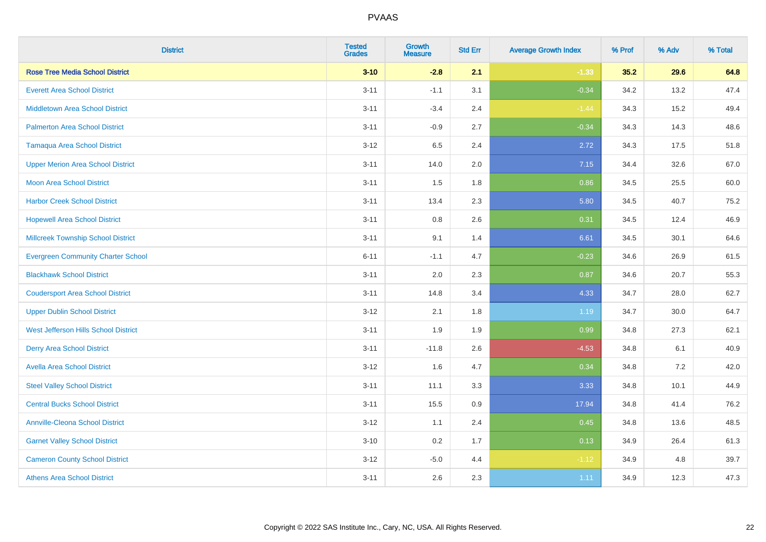| <b>District</b>                           | <b>Tested</b><br><b>Grades</b> | <b>Growth</b><br><b>Measure</b> | <b>Std Err</b> | <b>Average Growth Index</b> | % Prof | % Adv | % Total |
|-------------------------------------------|--------------------------------|---------------------------------|----------------|-----------------------------|--------|-------|---------|
| <b>Rose Tree Media School District</b>    | $3 - 10$                       | $-2.8$                          | 2.1            | $-1.33$                     | 35.2   | 29.6  | 64.8    |
| <b>Everett Area School District</b>       | $3 - 11$                       | $-1.1$                          | 3.1            | $-0.34$                     | 34.2   | 13.2  | 47.4    |
| <b>Middletown Area School District</b>    | $3 - 11$                       | $-3.4$                          | 2.4            | $-1.44$                     | 34.3   | 15.2  | 49.4    |
| <b>Palmerton Area School District</b>     | $3 - 11$                       | $-0.9$                          | 2.7            | $-0.34$                     | 34.3   | 14.3  | 48.6    |
| <b>Tamaqua Area School District</b>       | $3 - 12$                       | 6.5                             | 2.4            | 2.72                        | 34.3   | 17.5  | 51.8    |
| <b>Upper Merion Area School District</b>  | $3 - 11$                       | 14.0                            | 2.0            | 7.15                        | 34.4   | 32.6  | 67.0    |
| <b>Moon Area School District</b>          | $3 - 11$                       | 1.5                             | 1.8            | 0.86                        | 34.5   | 25.5  | 60.0    |
| <b>Harbor Creek School District</b>       | $3 - 11$                       | 13.4                            | 2.3            | 5.80                        | 34.5   | 40.7  | 75.2    |
| <b>Hopewell Area School District</b>      | $3 - 11$                       | 0.8                             | 2.6            | 0.31                        | 34.5   | 12.4  | 46.9    |
| <b>Millcreek Township School District</b> | $3 - 11$                       | 9.1                             | 1.4            | 6.61                        | 34.5   | 30.1  | 64.6    |
| <b>Evergreen Community Charter School</b> | $6 - 11$                       | $-1.1$                          | 4.7            | $-0.23$                     | 34.6   | 26.9  | 61.5    |
| <b>Blackhawk School District</b>          | $3 - 11$                       | 2.0                             | 2.3            | 0.87                        | 34.6   | 20.7  | 55.3    |
| <b>Coudersport Area School District</b>   | $3 - 11$                       | 14.8                            | 3.4            | 4.33                        | 34.7   | 28.0  | 62.7    |
| <b>Upper Dublin School District</b>       | $3 - 12$                       | 2.1                             | 1.8            | 1.19                        | 34.7   | 30.0  | 64.7    |
| West Jefferson Hills School District      | $3 - 11$                       | 1.9                             | 1.9            | 0.99                        | 34.8   | 27.3  | 62.1    |
| <b>Derry Area School District</b>         | $3 - 11$                       | $-11.8$                         | 2.6            | $-4.53$                     | 34.8   | 6.1   | 40.9    |
| <b>Avella Area School District</b>        | $3 - 12$                       | 1.6                             | 4.7            | 0.34                        | 34.8   | 7.2   | 42.0    |
| <b>Steel Valley School District</b>       | $3 - 11$                       | 11.1                            | 3.3            | 3.33                        | 34.8   | 10.1  | 44.9    |
| <b>Central Bucks School District</b>      | $3 - 11$                       | 15.5                            | 0.9            | 17.94                       | 34.8   | 41.4  | 76.2    |
| <b>Annville-Cleona School District</b>    | $3 - 12$                       | 1.1                             | 2.4            | 0.45                        | 34.8   | 13.6  | 48.5    |
| <b>Garnet Valley School District</b>      | $3 - 10$                       | 0.2                             | 1.7            | 0.13                        | 34.9   | 26.4  | 61.3    |
| <b>Cameron County School District</b>     | $3 - 12$                       | $-5.0$                          | 4.4            | $-1.12$                     | 34.9   | 4.8   | 39.7    |
| <b>Athens Area School District</b>        | $3 - 11$                       | 2.6                             | 2.3            | 1.11                        | 34.9   | 12.3  | 47.3    |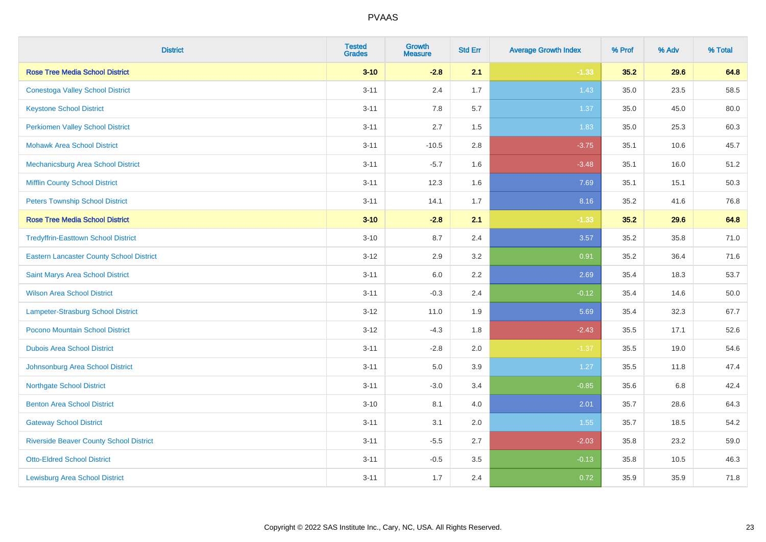| <b>District</b>                                 | <b>Tested</b><br><b>Grades</b> | <b>Growth</b><br><b>Measure</b> | <b>Std Err</b> | <b>Average Growth Index</b> | % Prof | % Adv | % Total |
|-------------------------------------------------|--------------------------------|---------------------------------|----------------|-----------------------------|--------|-------|---------|
| <b>Rose Tree Media School District</b>          | $3 - 10$                       | $-2.8$                          | 2.1            | $-1.33$                     | 35.2   | 29.6  | 64.8    |
| <b>Conestoga Valley School District</b>         | $3 - 11$                       | 2.4                             | 1.7            | 1.43                        | 35.0   | 23.5  | 58.5    |
| <b>Keystone School District</b>                 | $3 - 11$                       | 7.8                             | 5.7            | 1.37                        | 35.0   | 45.0  | 80.0    |
| <b>Perkiomen Valley School District</b>         | $3 - 11$                       | 2.7                             | 1.5            | 1.83                        | 35.0   | 25.3  | 60.3    |
| <b>Mohawk Area School District</b>              | $3 - 11$                       | $-10.5$                         | 2.8            | $-3.75$                     | 35.1   | 10.6  | 45.7    |
| Mechanicsburg Area School District              | $3 - 11$                       | $-5.7$                          | 1.6            | $-3.48$                     | 35.1   | 16.0  | 51.2    |
| <b>Mifflin County School District</b>           | $3 - 11$                       | 12.3                            | 1.6            | 7.69                        | 35.1   | 15.1  | 50.3    |
| <b>Peters Township School District</b>          | $3 - 11$                       | 14.1                            | 1.7            | 8.16                        | 35.2   | 41.6  | 76.8    |
| <b>Rose Tree Media School District</b>          | $3 - 10$                       | $-2.8$                          | 2.1            | $-1.33$                     | 35.2   | 29.6  | 64.8    |
| <b>Tredyffrin-Easttown School District</b>      | $3 - 10$                       | 8.7                             | 2.4            | 3.57                        | 35.2   | 35.8  | 71.0    |
| <b>Eastern Lancaster County School District</b> | $3 - 12$                       | 2.9                             | 3.2            | 0.91                        | 35.2   | 36.4  | 71.6    |
| Saint Marys Area School District                | $3 - 11$                       | $6.0\,$                         | 2.2            | 2.69                        | 35.4   | 18.3  | 53.7    |
| <b>Wilson Area School District</b>              | $3 - 11$                       | $-0.3$                          | 2.4            | $-0.12$                     | 35.4   | 14.6  | 50.0    |
| <b>Lampeter-Strasburg School District</b>       | $3 - 12$                       | 11.0                            | 1.9            | 5.69                        | 35.4   | 32.3  | 67.7    |
| Pocono Mountain School District                 | $3 - 12$                       | $-4.3$                          | 1.8            | $-2.43$                     | 35.5   | 17.1  | 52.6    |
| <b>Dubois Area School District</b>              | $3 - 11$                       | $-2.8$                          | 2.0            | $-1.37$                     | 35.5   | 19.0  | 54.6    |
| Johnsonburg Area School District                | $3 - 11$                       | 5.0                             | 3.9            | 1.27                        | 35.5   | 11.8  | 47.4    |
| <b>Northgate School District</b>                | $3 - 11$                       | $-3.0$                          | 3.4            | $-0.85$                     | 35.6   | 6.8   | 42.4    |
| <b>Benton Area School District</b>              | $3 - 10$                       | 8.1                             | 4.0            | 2.01                        | 35.7   | 28.6  | 64.3    |
| <b>Gateway School District</b>                  | $3 - 11$                       | 3.1                             | 2.0            | 1.55                        | 35.7   | 18.5  | 54.2    |
| <b>Riverside Beaver County School District</b>  | $3 - 11$                       | $-5.5$                          | 2.7            | $-2.03$                     | 35.8   | 23.2  | 59.0    |
| <b>Otto-Eldred School District</b>              | $3 - 11$                       | $-0.5$                          | 3.5            | $-0.13$                     | 35.8   | 10.5  | 46.3    |
| <b>Lewisburg Area School District</b>           | $3 - 11$                       | 1.7                             | 2.4            | 0.72                        | 35.9   | 35.9  | 71.8    |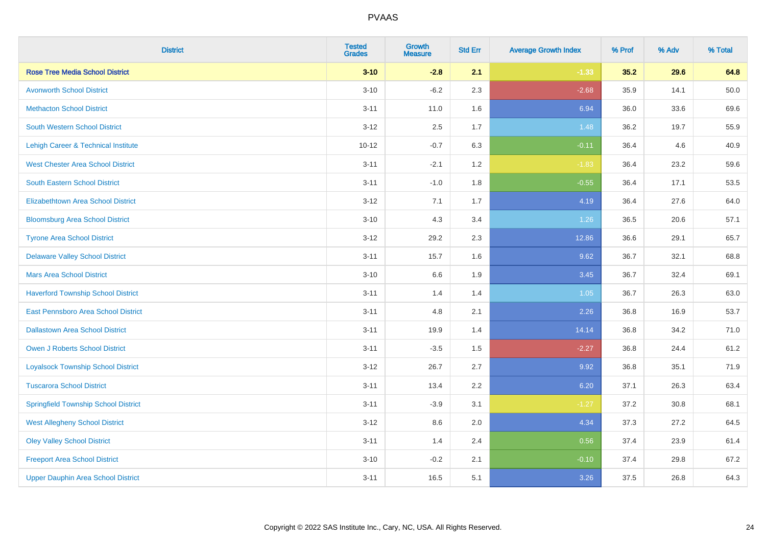| <b>District</b>                             | <b>Tested</b><br><b>Grades</b> | <b>Growth</b><br><b>Measure</b> | <b>Std Err</b> | <b>Average Growth Index</b> | % Prof | % Adv | % Total  |
|---------------------------------------------|--------------------------------|---------------------------------|----------------|-----------------------------|--------|-------|----------|
| <b>Rose Tree Media School District</b>      | $3 - 10$                       | $-2.8$                          | 2.1            | $-1.33$                     | 35.2   | 29.6  | 64.8     |
| <b>Avonworth School District</b>            | $3 - 10$                       | $-6.2$                          | 2.3            | $-2.68$                     | 35.9   | 14.1  | $50.0\,$ |
| <b>Methacton School District</b>            | $3 - 11$                       | 11.0                            | 1.6            | 6.94                        | 36.0   | 33.6  | 69.6     |
| <b>South Western School District</b>        | $3 - 12$                       | 2.5                             | 1.7            | 1.48                        | 36.2   | 19.7  | 55.9     |
| Lehigh Career & Technical Institute         | $10 - 12$                      | $-0.7$                          | 6.3            | $-0.11$                     | 36.4   | 4.6   | 40.9     |
| <b>West Chester Area School District</b>    | $3 - 11$                       | $-2.1$                          | 1.2            | $-1.83$                     | 36.4   | 23.2  | 59.6     |
| South Eastern School District               | $3 - 11$                       | $-1.0$                          | 1.8            | $-0.55$                     | 36.4   | 17.1  | 53.5     |
| <b>Elizabethtown Area School District</b>   | $3 - 12$                       | 7.1                             | 1.7            | 4.19                        | 36.4   | 27.6  | 64.0     |
| <b>Bloomsburg Area School District</b>      | $3 - 10$                       | 4.3                             | 3.4            | 1.26                        | 36.5   | 20.6  | 57.1     |
| <b>Tyrone Area School District</b>          | $3 - 12$                       | 29.2                            | 2.3            | 12.86                       | 36.6   | 29.1  | 65.7     |
| <b>Delaware Valley School District</b>      | $3 - 11$                       | 15.7                            | 1.6            | 9.62                        | 36.7   | 32.1  | 68.8     |
| <b>Mars Area School District</b>            | $3 - 10$                       | 6.6                             | 1.9            | 3.45                        | 36.7   | 32.4  | 69.1     |
| <b>Haverford Township School District</b>   | $3 - 11$                       | 1.4                             | 1.4            | 1.05                        | 36.7   | 26.3  | 63.0     |
| East Pennsboro Area School District         | $3 - 11$                       | 4.8                             | 2.1            | 2.26                        | 36.8   | 16.9  | 53.7     |
| <b>Dallastown Area School District</b>      | $3 - 11$                       | 19.9                            | 1.4            | 14.14                       | 36.8   | 34.2  | 71.0     |
| <b>Owen J Roberts School District</b>       | $3 - 11$                       | $-3.5$                          | 1.5            | $-2.27$                     | 36.8   | 24.4  | 61.2     |
| <b>Loyalsock Township School District</b>   | $3 - 12$                       | 26.7                            | 2.7            | 9.92                        | 36.8   | 35.1  | 71.9     |
| <b>Tuscarora School District</b>            | $3 - 11$                       | 13.4                            | 2.2            | 6.20                        | 37.1   | 26.3  | 63.4     |
| <b>Springfield Township School District</b> | $3 - 11$                       | $-3.9$                          | 3.1            | $-1.27$                     | 37.2   | 30.8  | 68.1     |
| <b>West Allegheny School District</b>       | $3 - 12$                       | 8.6                             | 2.0            | 4.34                        | 37.3   | 27.2  | 64.5     |
| <b>Oley Valley School District</b>          | $3 - 11$                       | 1.4                             | 2.4            | 0.56                        | 37.4   | 23.9  | 61.4     |
| <b>Freeport Area School District</b>        | $3 - 10$                       | $-0.2$                          | 2.1            | $-0.10$                     | 37.4   | 29.8  | 67.2     |
| <b>Upper Dauphin Area School District</b>   | $3 - 11$                       | 16.5                            | 5.1            | 3.26                        | 37.5   | 26.8  | 64.3     |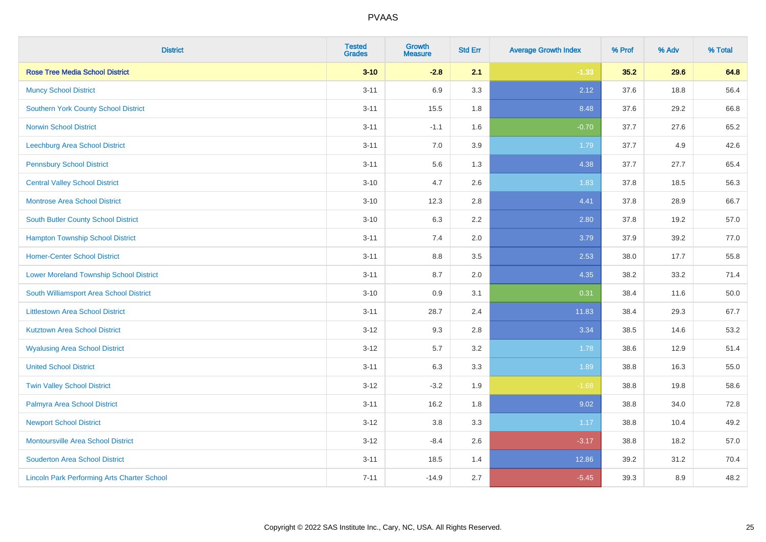| <b>District</b>                                    | <b>Tested</b><br><b>Grades</b> | <b>Growth</b><br><b>Measure</b> | <b>Std Err</b> | <b>Average Growth Index</b> | % Prof | % Adv | % Total |
|----------------------------------------------------|--------------------------------|---------------------------------|----------------|-----------------------------|--------|-------|---------|
| <b>Rose Tree Media School District</b>             | $3 - 10$                       | $-2.8$                          | 2.1            | $-1.33$                     | 35.2   | 29.6  | 64.8    |
| <b>Muncy School District</b>                       | $3 - 11$                       | 6.9                             | 3.3            | 2.12                        | 37.6   | 18.8  | 56.4    |
| <b>Southern York County School District</b>        | $3 - 11$                       | 15.5                            | 1.8            | 8.48                        | 37.6   | 29.2  | 66.8    |
| <b>Norwin School District</b>                      | $3 - 11$                       | $-1.1$                          | 1.6            | $-0.70$                     | 37.7   | 27.6  | 65.2    |
| <b>Leechburg Area School District</b>              | $3 - 11$                       | 7.0                             | 3.9            | 1.79                        | 37.7   | 4.9   | 42.6    |
| <b>Pennsbury School District</b>                   | $3 - 11$                       | 5.6                             | 1.3            | 4.38                        | 37.7   | 27.7  | 65.4    |
| <b>Central Valley School District</b>              | $3 - 10$                       | 4.7                             | 2.6            | 1.83                        | 37.8   | 18.5  | 56.3    |
| <b>Montrose Area School District</b>               | $3 - 10$                       | 12.3                            | 2.8            | 4.41                        | 37.8   | 28.9  | 66.7    |
| South Butler County School District                | $3 - 10$                       | 6.3                             | 2.2            | 2.80                        | 37.8   | 19.2  | 57.0    |
| <b>Hampton Township School District</b>            | $3 - 11$                       | 7.4                             | 2.0            | 3.79                        | 37.9   | 39.2  | 77.0    |
| <b>Homer-Center School District</b>                | $3 - 11$                       | 8.8                             | 3.5            | 2.53                        | 38.0   | 17.7  | 55.8    |
| <b>Lower Moreland Township School District</b>     | $3 - 11$                       | 8.7                             | 2.0            | 4.35                        | 38.2   | 33.2  | 71.4    |
| South Williamsport Area School District            | $3 - 10$                       | 0.9                             | 3.1            | 0.31                        | 38.4   | 11.6  | 50.0    |
| <b>Littlestown Area School District</b>            | $3 - 11$                       | 28.7                            | 2.4            | 11.83                       | 38.4   | 29.3  | 67.7    |
| <b>Kutztown Area School District</b>               | $3-12$                         | 9.3                             | 2.8            | 3.34                        | 38.5   | 14.6  | 53.2    |
| <b>Wyalusing Area School District</b>              | $3 - 12$                       | 5.7                             | 3.2            | 1.78                        | 38.6   | 12.9  | 51.4    |
| <b>United School District</b>                      | $3 - 11$                       | 6.3                             | 3.3            | 1.89                        | 38.8   | 16.3  | 55.0    |
| <b>Twin Valley School District</b>                 | $3-12$                         | $-3.2$                          | 1.9            | $-1.68$                     | 38.8   | 19.8  | 58.6    |
| Palmyra Area School District                       | $3 - 11$                       | 16.2                            | 1.8            | 9.02                        | 38.8   | 34.0  | 72.8    |
| <b>Newport School District</b>                     | $3-12$                         | 3.8                             | 3.3            | 1.17                        | 38.8   | 10.4  | 49.2    |
| Montoursville Area School District                 | $3-12$                         | $-8.4$                          | 2.6            | $-3.17$                     | 38.8   | 18.2  | 57.0    |
| <b>Souderton Area School District</b>              | $3 - 11$                       | 18.5                            | 1.4            | 12.86                       | 39.2   | 31.2  | 70.4    |
| <b>Lincoln Park Performing Arts Charter School</b> | $7 - 11$                       | $-14.9$                         | 2.7            | $-5.45$                     | 39.3   | 8.9   | 48.2    |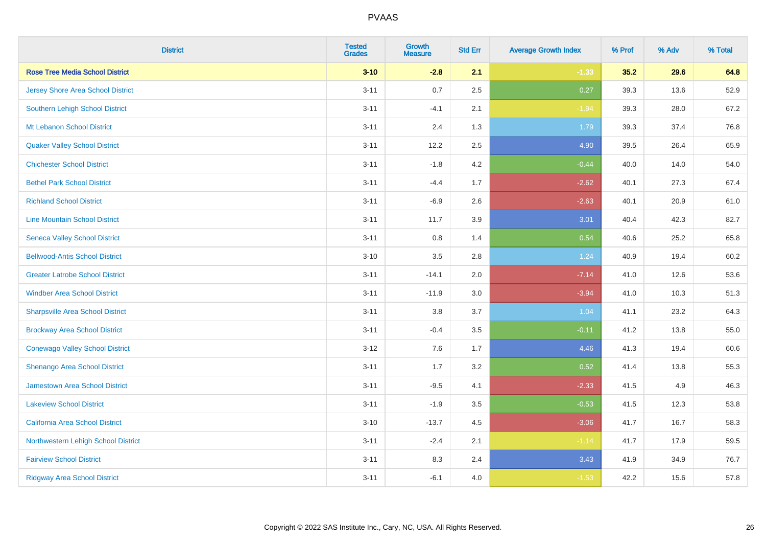| <b>District</b>                          | <b>Tested</b><br><b>Grades</b> | <b>Growth</b><br><b>Measure</b> | <b>Std Err</b> | <b>Average Growth Index</b> | % Prof | % Adv | % Total |
|------------------------------------------|--------------------------------|---------------------------------|----------------|-----------------------------|--------|-------|---------|
| <b>Rose Tree Media School District</b>   | $3 - 10$                       | $-2.8$                          | 2.1            | $-1.33$                     | 35.2   | 29.6  | 64.8    |
| <b>Jersey Shore Area School District</b> | $3 - 11$                       | 0.7                             | 2.5            | 0.27                        | 39.3   | 13.6  | 52.9    |
| Southern Lehigh School District          | $3 - 11$                       | $-4.1$                          | 2.1            | $-1.94$                     | 39.3   | 28.0  | 67.2    |
| Mt Lebanon School District               | $3 - 11$                       | 2.4                             | 1.3            | 1.79                        | 39.3   | 37.4  | 76.8    |
| <b>Quaker Valley School District</b>     | $3 - 11$                       | 12.2                            | 2.5            | 4.90                        | 39.5   | 26.4  | 65.9    |
| <b>Chichester School District</b>        | $3 - 11$                       | $-1.8$                          | 4.2            | $-0.44$                     | 40.0   | 14.0  | 54.0    |
| <b>Bethel Park School District</b>       | $3 - 11$                       | $-4.4$                          | 1.7            | $-2.62$                     | 40.1   | 27.3  | 67.4    |
| <b>Richland School District</b>          | $3 - 11$                       | $-6.9$                          | 2.6            | $-2.63$                     | 40.1   | 20.9  | 61.0    |
| <b>Line Mountain School District</b>     | $3 - 11$                       | 11.7                            | 3.9            | 3.01                        | 40.4   | 42.3  | 82.7    |
| <b>Seneca Valley School District</b>     | $3 - 11$                       | 0.8                             | 1.4            | 0.54                        | 40.6   | 25.2  | 65.8    |
| <b>Bellwood-Antis School District</b>    | $3 - 10$                       | 3.5                             | 2.8            | 1.24                        | 40.9   | 19.4  | 60.2    |
| <b>Greater Latrobe School District</b>   | $3 - 11$                       | $-14.1$                         | 2.0            | $-7.14$                     | 41.0   | 12.6  | 53.6    |
| <b>Windber Area School District</b>      | $3 - 11$                       | $-11.9$                         | 3.0            | $-3.94$                     | 41.0   | 10.3  | 51.3    |
| <b>Sharpsville Area School District</b>  | $3 - 11$                       | $3.8\,$                         | 3.7            | 1.04                        | 41.1   | 23.2  | 64.3    |
| <b>Brockway Area School District</b>     | $3 - 11$                       | $-0.4$                          | 3.5            | $-0.11$                     | 41.2   | 13.8  | 55.0    |
| <b>Conewago Valley School District</b>   | $3 - 12$                       | 7.6                             | 1.7            | 4.46                        | 41.3   | 19.4  | 60.6    |
| Shenango Area School District            | $3 - 11$                       | 1.7                             | 3.2            | 0.52                        | 41.4   | 13.8  | 55.3    |
| Jamestown Area School District           | $3 - 11$                       | $-9.5$                          | 4.1            | $-2.33$                     | 41.5   | 4.9   | 46.3    |
| <b>Lakeview School District</b>          | $3 - 11$                       | $-1.9$                          | 3.5            | $-0.53$                     | 41.5   | 12.3  | 53.8    |
| California Area School District          | $3 - 10$                       | $-13.7$                         | 4.5            | $-3.06$                     | 41.7   | 16.7  | 58.3    |
| Northwestern Lehigh School District      | $3 - 11$                       | $-2.4$                          | 2.1            | $-1.14$                     | 41.7   | 17.9  | 59.5    |
| <b>Fairview School District</b>          | $3 - 11$                       | 8.3                             | 2.4            | 3.43                        | 41.9   | 34.9  | 76.7    |
| <b>Ridgway Area School District</b>      | $3 - 11$                       | $-6.1$                          | 4.0            | $-1.53$                     | 42.2   | 15.6  | 57.8    |